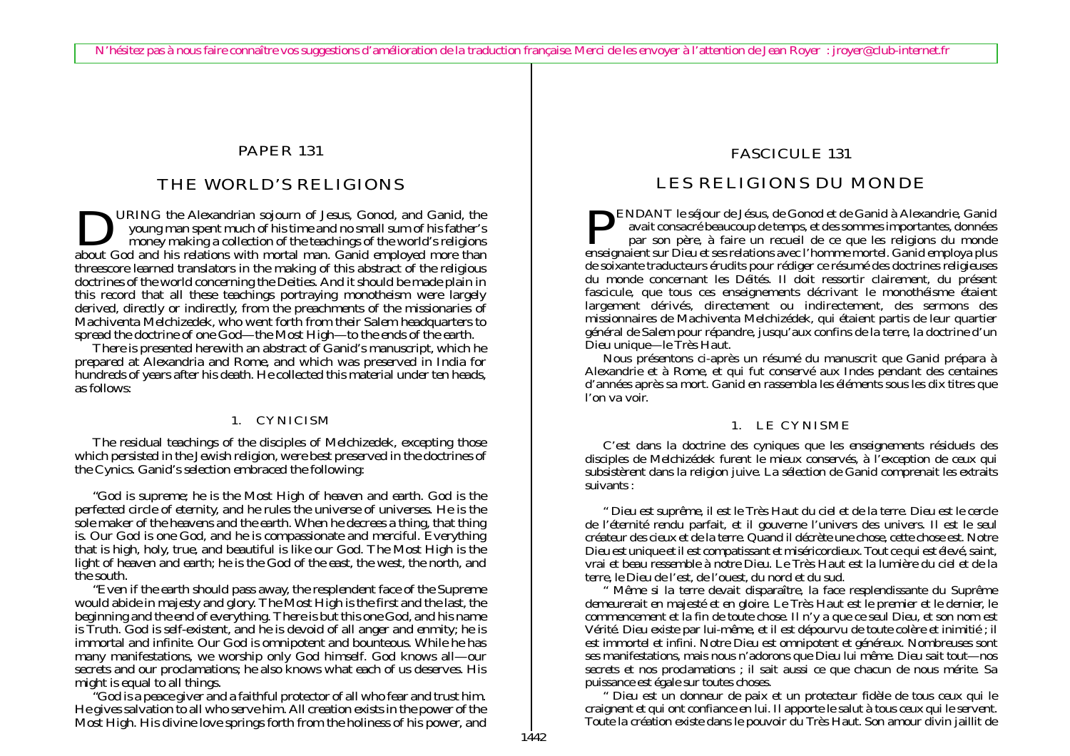# PAPER 131

# THE WORLD'S RELIGIONS

DURING the Alexandrian sojourn of Jesus, Gonod, and Ganid, the young man spent much of his time and no small sum of his father's money making a collection of the teachings of the world's religions about God and his relations with mortal man. Ganid employed more than threescore learned translators in the making of this abstract of the religious doctrines of the world concerning the Deities. And it should be made plain in this record that all these teachings portraying monotheism were largely derived, directly or indirectly, from the preachments of the missionaries of Machiventa Melchizedek, who went forth from their Salem headquarters to spread the doctrine of one God—the Most High—to the ends of the earth.

There is presented herewith an abstract of Ganid's manuscript, which he prepared at Alexandria and Rome, and which was preserved in India for hundreds of years after his death. He collected this material under ten heads, as follows:

# 1. CYNICISM

The residual teachings of the disciples of Melchizedek, excepting those which persisted in the Jewish religion, were best preserved in the doctrines of the Cynics. Ganid's selection embraced the following:

"God is supreme; he is the Most High of heaven and earth. God is the perfected circle of eternity, and he rules the universe of universes. He is the sole maker of the heavens and the earth. When he decrees a thing, that thing is. Our God is one God, and he is compassionate and merciful. Everything that is high, holy, true, and beautiful is like our God. The Most High is the light of heaven and earth; he is the God of the east, the west, the north, and the south.

"Even if the earth should pass away, the resplendent face of the Supreme would abide in majesty and glory. The Most High is the first and the last, the beginning and the end of everything. There is but this one God, and his name is Truth. God is self-existent, and he is devoid of all anger and enmity; he is immortal and infinite. Our God is omnipotent and bounteous. While he has many manifestations, we worship only God himself. God knows all—our secrets and our proclamations; he also knows what each of us deserves. His might is equal to all things.

"God is a peace giver and a faithful protector of all who fear and trust him. He gives salvation to all who serve him. All creation exists in the power of the Most High. His divine love springs forth from the holiness of his power, and

# FASCICULE 131

# LES RELIGIONS DU MONDE

PENDANT le séjour de Jésus, de Gonod et de Ganid à Alexandrie, Ganid avait consacré beaucoup de temps, et des sommes importantes, données par son père, à faire un recueil de ce que les religions du monde enseignaient sur Dieu et ses relations avec l'homme mortel. Ganid employa plus de soixante traducteurs érudits pour rédiger ce résumé des doctrines religieuses du monde concernant les Déités. Il doit ressortir clairement, du présent fascicule, que tous ces enseignements décrivant le monothéisme étaient largement dérivés, directement ou indirectement, des sermons des missionnaires de Machiventa Melchizédek, qui étaient partis de leur quartier général de Salem pour répandre, jusqu'aux confins de la terre, la doctrine d'un Dieu unique—le Très Haut.

Nous présentons ci-après un résumé du manuscrit que Ganid prépara à Alexandrie et à Rome, et qui fut conservé aux Indes pendant des centaines d'années après sa mort. Ganid en rassembla les éléments sous les dix titres que l'on va voir.

## 1. LE CYNISME

C'est dans la doctrine des cyniques que les enseignements résiduels des disciples de Melchizédek furent le mieux conservés, à l'exception de ceux qui subsistèrent dans la religion juive. La sélection de Ganid comprenait les extraits suivants :

" Dieu est suprême, il est le Très Haut du ciel et de la terre. Dieu est le cercle de l'éternité rendu parfait, et il gouverne l'univers des univers. Il est le seul créateur des cieux et de la terre. Quand il décrète une chose, cette chose est. Notre Dieu est unique et il est compatissant et miséricordieux. Tout ce qui est élevé, saint, vrai et beau ressemble à notre Dieu. Le Très Haut est la lumière du ciel et de la terre, le Dieu de l'est, de l'ouest, du nord et du sud.

 Même si la terre devait disparaître, la face resplendissante du Suprême demeurerait en majesté et en gloire. Le Très Haut est le premier et le dernier, le commencement et la fin de toute chose. Il n'y a que ce seul Dieu, et son nom est Vérité. Dieu existe par lui-même, et il est dépourvu de toute colère et inimitié ; il est immortel et infini. Notre Dieu est omnipotent et généreux. Nombreuses sont ses manifestations, mais nous n'adorons que Dieu lui même. Dieu sait tout—nos secrets et nos proclamations ; il sait aussi ce que chacun de nous mérite. Sa puissance est égale sur toutes choses.

" Dieu est un donneur de paix et un protecteur fidèle de tous ceux qui le craignent et qui ont confiance en lui. Il apporte le salut à tous ceux qui le servent. Toute la création existe dans le pouvoir du Très Haut. Son amour divin jaillit de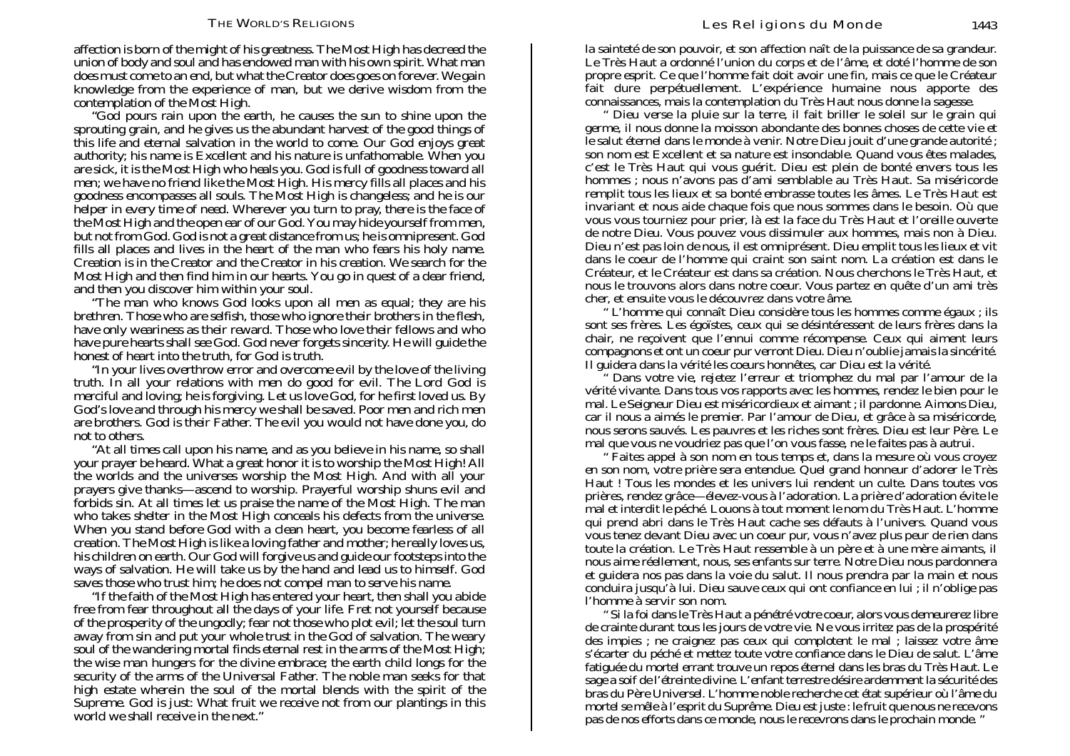affection is born of the might of his greatness. The Most High has decreed the union of body and soul and has endowed man with his own spirit. What man does must come to an end, but what the Creator does goes on forever. We gain knowledge from the experience of man, but we derive wisdom from the contemplation of the Most High.

"God pours rain upon the earth, he causes the sun to shine upon the sprouting grain, and he gives us the abundant harvest of the good things of this life and eternal salvation in the world to come. Our God enjoys great authority; his name is Excellent and his nature is unfathomable. When you are sick, it is the Most High who heals you. God is full of goodness toward all men; we have no friend like the Most High. His mercy fills all places and his goodness encompasses all souls. The Most High is changeless; and he is our helper in every time of need. Wherever you turn to pray, there is the face of the Most High and the open ear of our God. You may hide yourself from men, but not from God. God is not a great distance from us; he is omnipresent. God fills all places and lives in the heart of the man who fears his holy name. Creation is in the Creator and the Creator in his creation. We search for the Most High and then find him in our hearts. You go in quest of a dear friend, and then you discover him within your soul.

"The man who knows God looks upon all men as equal; they are his brethren. Those who are selfish, those who ignore their brothers in the flesh, have only weariness as their reward. Those who love their fellows and who have pure hearts shall see God. God never forgets sincerity. He will guide the honest of heart into the truth, for God is truth.

"In your lives overthrow error and overcome evil by the love of the living truth. In all your relations with men do good for evil. The Lord God is merciful and loving; he is forgiving. Let us love God, for he first loved us. By God's love and through his mercy we shall be saved. Poor men and rich men are brothers. God is their Father. The evil you would not have done you, do not to others.

"At all times call upon his name, and as you believe in his name, so shall your prayer be heard. What a great honor it is to worship the Most High! All the worlds and the universes worship the Most High. And with all your prayers give thanks—ascend to worship. Prayerful worship shuns evil and forbids sin. At all times let us praise the name of the Most High. The man who takes shelter in the Most High conceals his defects from the universe. When you stand before God with a clean heart, you become fearless of all creation. The Most High is like a loving father and mother; he really loves us, his children on earth. Our God will forgive us and guide our footsteps into the ways of salvation. He will take us by the hand and lead us to himself. God saves those who trust him; he does not compel man to serve his name.

"If the faith of the Most High has entered your heart, then shall you abide free from fear throughout all the days of your life. Fret not yourself because of the prosperity of the ungodly; fear not those who plot evil; let the soul turn away from sin and put your whole trust in the God of salvation. The weary soul of the wandering mortal finds eternal rest in the arms of the Most High; the wise man hungers for the divine embrace; the earth child longs for the security of the arms of the Universal Father. The noble man seeks for that high estate wherein the soul of the mortal blends with the spirit of the Supreme. God is just: What fruit we receive not from our plantings in this world we shall receive in the next."

la sainteté de son pouvoir, et son affection naît de la puissance de sa grandeur. Le Très Haut a ordonné l'union du corps et de l'âme, et doté l'homme de son propre esprit. Ce que l'homme fait doit avoir une fin, mais ce que le Créateur fait dure perpétuellement. L'expérience humaine nous apporte des connaissances, mais la contemplation du Très Haut nous donne la sagesse.

" Dieu verse la pluie sur la terre, il fait briller le soleil sur le grain qui germe, il nous donne la moisson abondante des bonnes choses de cette vie et le salut éternel dans le monde à venir. Notre Dieu jouit d'une grande autorité ; son nom est Excellent et sa nature est insondable. Quand vous êtes malades, c'est le Très Haut qui vous guérit. Dieu est plein de bonté envers tous les hommes ; nous n'avons pas d'ami semblable au Très Haut. Sa miséricorde remplit tous les lieux et sa bonté embrasse toutes les âmes. Le Très Haut est invariant et nous aide chaque fois que nous sommes dans le besoin. Où que vous vous tourniez pour prier, là est la face du Très Haut et l'oreille ouverte de notre Dieu. Vous pouvez vous dissimuler aux hommes, mais non à Dieu. Dieu n'est pas loin de nous, il est omniprésent. Dieu emplit tous les lieux et vit dans le coeur de l'homme qui craint son saint nom. La création est dans le Créateur, et le Créateur est dans sa création. Nous cherchons le Très Haut, et nous le trouvons alors dans notre coeur. Vous partez en quête d'un ami très cher, et ensuite vous le découvrez dans votre âme.

" L'homme qui connaît Dieu considère tous les hommes comme égaux ; ils sont ses frères. Les égoïstes, ceux qui se désintéressent de leurs frères dans la chair, ne reçoivent que l'ennui comme récompense. Ceux qui aiment leurs compagnons et ont un coeur pur verront Dieu. Dieu n'oublie jamais la sincérité. Il guidera dans la vérité les coeurs honnêtes, car Dieu est la vérité.

 Dans votre vie, rejetez l'erreur et triomphez du mal par l'amour de la vérité vivante. Dans tous vos rapports avec les hommes, rendez le bien pour le mal. Le Seigneur Dieu est miséricordieux et aimant ; il pardonne. Aimons Dieu, car il nous a aimés le premier. Par l'amour de Dieu, et grâce à sa miséricorde, nous serons sauvés. Les pauvres et les riches sont frères. Dieu est leur Père. Le mal que vous ne voudriez pas que l'on vous fasse, ne le faites pas à autrui.

" Faites appel à son nom en tous temps et, dans la mesure où vous croyez en son nom, votre prière sera entendue. Quel grand honneur d'adorer le Très Haut ! Tous les mondes et les univers lui rendent un culte. Dans toutes vos prières, rendez grâce—élevez-vous à l'adoration. La prière d'adoration évite le mal et interdit le péché. Louons à tout moment le nom du Très Haut. L'homme qui prend abri dans le Très Haut cache ses défauts à l'univers. Quand vous vous tenez devant Dieu avec un coeur pur, vous n'avez plus peur de rien dans toute la création. Le Très Haut ressemble à un père et à une mère aimants, il nous aime réellement, nous, ses enfants sur terre. Notre Dieu nous pardonnera et guidera nos pas dans la voie du salut. Il nous prendra par la main et nous conduira jusqu'à lui. Dieu sauve ceux qui ont confiance en lui ; il n'oblige pas l'homme à servir son nom.

" Si la foi dans le Très Haut a pénétré votre coeur, alors vous demeurerez libre de crainte durant tous les jours de votre vie. Ne vous irritez pas de la prospérité des impies ; ne craignez pas ceux qui complotent le mal ; laissez votre âme s'écarter du péché et mettez toute votre confiance dans le Dieu de salut. L'âme fatiguée du mortel errant trouve un repos éternel dans les bras du Très Haut. Le sage a soif de l'étreinte divine. L'enfant terrestre désire ardemment la sécurité des bras du Père Universel. L'homme noble recherche cet état supérieur où l'âme du mortel se mêle à l'esprit du Suprême. Dieu est juste : le fruit que nous ne recevons pas de nos efforts dans ce monde, nous le recevrons dans le prochain monde. "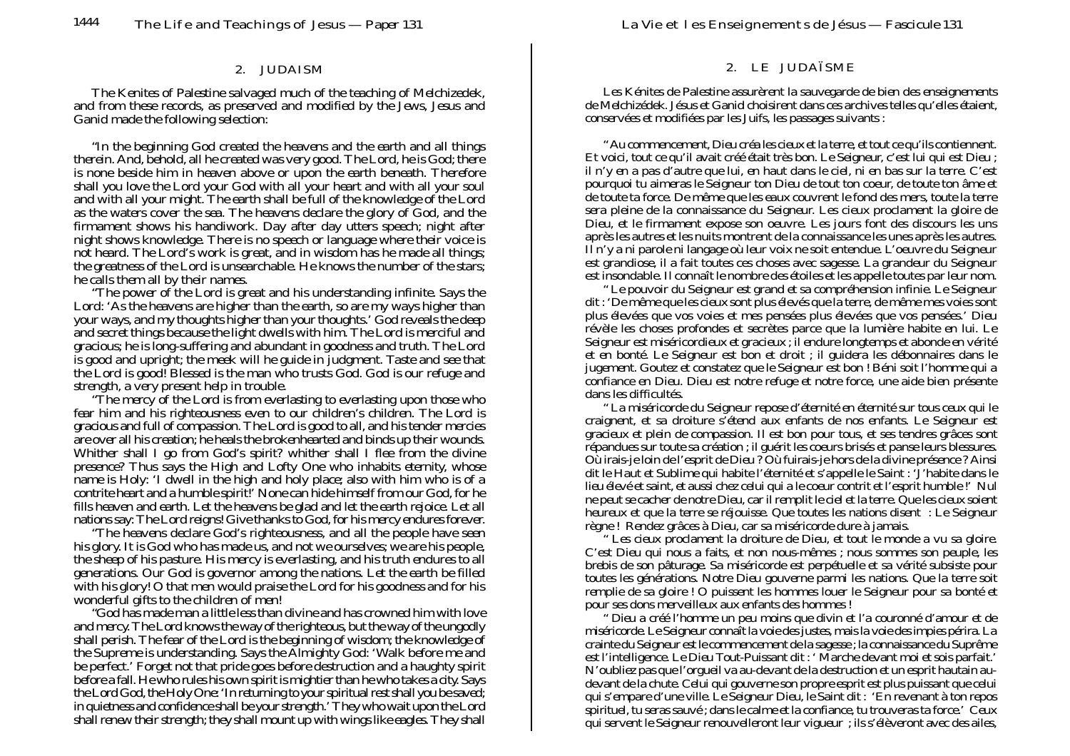#### 2. JUDAISM

The Kenites of Palestine salvaged much of the teaching of Melchizedek, and from these records, as preserved and modified by the Jews, Jesus and Ganid made the following selection:

"In the beginning God created the heavens and the earth and all things therein. And, behold, all he created was very good. The Lord, he is God; there is none beside him in heaven above or upon the earth beneath. Therefore shall you love the Lord your God with all your heart and with all your soul and with all your might. The earth shall be full of the knowledge of the Lord as the waters cover the sea. The heavens declare the glory of God, and the firmament shows his handiwork. Day after day utters speech; night after night shows knowledge. There is no speech or language where their voice is not heard. The Lord's work is great, and in wisdom has he made all things; the greatness of the Lord is unsearchable. He knows the number of the stars; he calls them all by their names.

"The power of the Lord is great and his understanding infinite. Says the Lord: 'As the heavens are higher than the earth, so are my ways higher than your ways, and my thoughts higher than your thoughts.' God reveals the deep and secret things because the light dwells with him. The Lord is merciful and gracious; he is long-suffering and abundant in goodness and truth. The Lord is good and upright; the meek will he guide in judgment. Taste and see that the Lord is good! Blessed is the man who trusts God. God is our refuge and strength, a very present help in trouble.

"The mercy of the Lord is from everlasting to everlasting upon those who fear him and his righteousness even to our children's children. The Lord is gracious and full of compassion. The Lord is good to all, and his tender mercies are over all his creation; he heals the brokenhearted and binds up their wounds. Whither shall I go from God's spirit? whither shall I flee from the divine presence? Thus says the High and Lofty One who inhabits eternity, whose name is Holy: 'I dwell in the high and holy place; also with him who is of a contrite heart and a humble spirit!' None can hide himself from our God, for he fills heaven and earth. Let the heavens be glad and let the earth rejoice. Let all nations say: The Lord reigns! Give thanks to God, for his mercy endures forever.

"The heavens declare God's righteousness, and all the people have seen his glory. It is God who has made us, and not we ourselves; we are his people, the sheep of his pasture. His mercy is everlasting, and his truth endures to all generations. Our God is governor among the nations. Let the earth be filled with his glory! O that men would praise the Lord for his goodness and for his wonderful gifts to the children of men!

"God has made man a little less than divine and has crowned him with love and mercy. The Lord knows the way of the righteous, but the way of the ungodly shall perish. The fear of the Lord is the beginning of wisdom; the knowledge of the Supreme is understanding. Says the Almighty God: 'Walk before me and be perfect.' Forget not that pride goes before destruction and a haughty spirit before a fall. He who rules his own spirit is mightier than he who takes a city. Says the Lord God, the Holy One: 'In returning to your spiritual rest shall you be saved; in quietness and confidence shall be your strength.' They who wait upon the Lord shall renew their strength; they shall mount up with wings like eagles. They shall

#### 2. LE JUDAÏSME

Les Kénites de Palestine assurèrent la sauvegarde de bien des enseignements de Melchizédek. Jésus et Ganid choisirent dans ces archives telles qu'elles étaient, conservées et modifiées par les Juifs, les passages suivants :

" Au commencement, Dieu créa les cieux et la terre, et tout ce qu'ils contiennent. Et voici, tout ce qu'il avait créé était très bon. Le Seigneur, c'est lui qui est Dieu ; il n'y en a pas d'autre que lui, en haut dans le ciel, ni en bas sur la terre. C'est pourquoi tu aimeras le Seigneur ton Dieu de tout ton coeur, de toute ton âme et de toute ta force. De même que les eaux couvrent le fond des mers, toute la terre sera pleine de la connaissance du Seigneur. Les cieux proclament la gloire de Dieu, et le firmament expose son oeuvre. Les jours font des discours les uns après les autres et les nuits montrent de la connaissance les unes après les autres. Il n'y a ni parole ni langage où leur voix ne soit entendue. L'oeuvre du Seigneur est grandiose, il a fait toutes ces choses avec sagesse. La grandeur du Seigneur est insondable. Il connaît le nombre des étoiles et les appelle toutes par leur nom.

" Le pouvoir du Seigneur est grand et sa compréhension infinie. Le Seigneur dit : 'De même que les cieux sont plus élevés que la terre, de même mes voies sont plus élevées que vos voies et mes pensées plus élevées que vos pensées.' Dieu révèle les choses profondes et secrètes parce que la lumière habite en lui. Le Seigneur est miséricordieux et gracieux ; il endure longtemps et abonde en vérité et en bonté. Le Seigneur est bon et droit ; il guidera les débonnaires dans le jugement. Goutez et constatez que le Seigneur est bon ! Béni soit l'homme qui a confiance en Dieu. Dieu est notre refuge et notre force, une aide bien présente dans les difficultés.

" La miséricorde du Seigneur repose d'éternité en éternité sur tous ceux qui le craignent, et sa droiture s'étend aux enfants de nos enfants. Le Seigneur est gracieux et plein de compassion. Il est bon pour tous, et ses tendres grâces sont répandues sur toute sa création ; il guérit les coeurs brisés et panse leurs blessures. Où irais-je loin de l'esprit de Dieu ? Où fuirais-je hors de la divine présence ? Ainsi dit le Haut et Sublime qui habite l'éternité et s'appelle le Saint : 'J'habite dans le lieu élevé et saint, et aussi chez celui qui a le coeur contrit et l'esprit humble !' Nul ne peut se cacher de notre Dieu, car il remplit le ciel et la terre. Que les cieux soient heureux et que la terre se réjouisse. Que toutes les nations disent : Le Seigneur règne ! Rendez grâces à Dieu, car sa miséricorde dure à jamais.

 Les cieux proclament la droiture de Dieu, et tout le monde a vu sa gloire. C'est Dieu qui nous a faits, et non nous-mêmes ; nous sommes son peuple, les brebis de son pâturage. Sa miséricorde est perpétuelle et sa vérité subsiste pour toutes les générations. Notre Dieu gouverne parmi les nations. Que la terre soit remplie de sa gloire ! O puissent les hommes louer le Seigneur pour sa bonté et pour ses dons merveilleux aux enfants des hommes !

 Dieu a créé l'homme un peu moins que divin et l'a couronné d'amour et de miséricorde. Le Seigneur connaît la voie des justes, mais la voie des impies périra. La crainte du Seigneur est le commencement de la sagesse ; la connaissance du Suprême est l'intelligence. Le Dieu Tout-Puissant dit : ' Marche devant moi et sois parfait.' N'oubliez pas que l'orgueil va au-devant de la destruction et un esprit hautain audevant de la chute. Celui qui gouverne son propre esprit est plus puissant que celui qui s'empare d'une ville. Le Seigneur Dieu, le Saint dit : 'En revenant à ton repos spirituel, tu seras sauvé ; dans le calme et la confiance, tu trouveras ta force.' Ceux qui servent le Seigneur renouvelleront leur vigueur ; ils s'élèveront avec des ailes,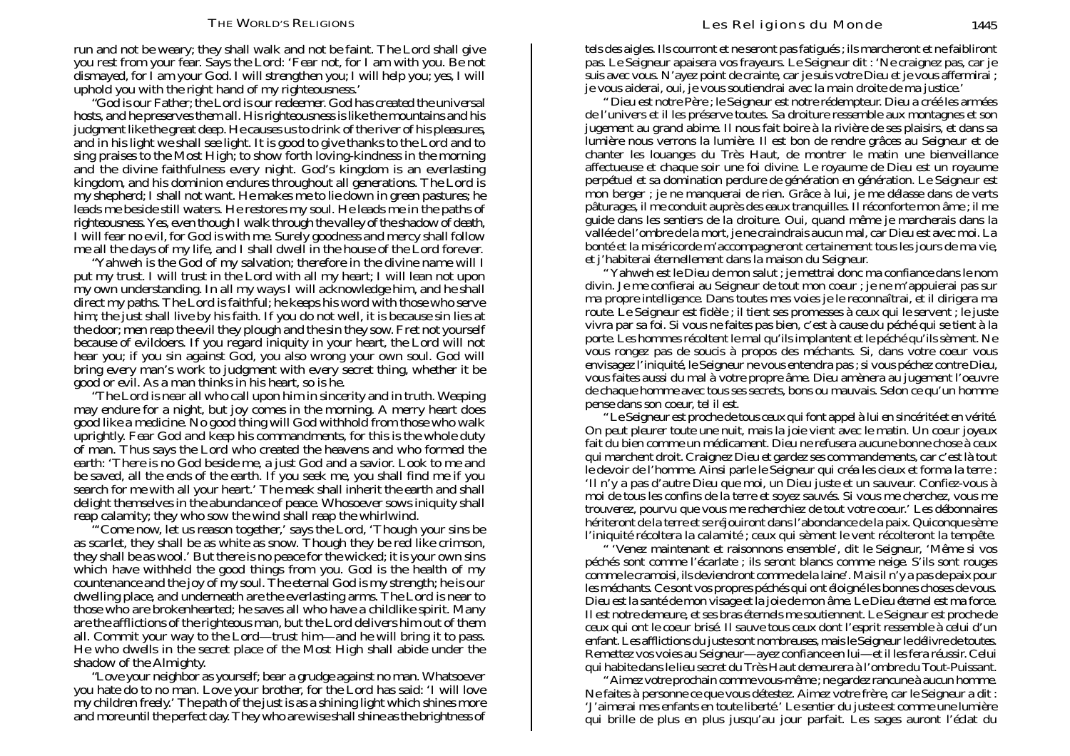run and not be weary; they shall walk and not be faint. The Lord shall give you rest from your fear. Says the Lord: 'Fear not, for I am with you. Be not dismayed, for I am your God. I will strengthen you; I will help you; yes, I will uphold you with the right hand of my righteousness.'

"God is our Father; the Lord is our redeemer. God has created the universal hosts, and he preserves them all. His righteousness is like the mountains and his judgment like the great deep. He causes us to drink of the river of his pleasures, and in his light we shall see light. It is good to give thanks to the Lord and to sing praises to the Most High; to show forth loving-kindness in the morning and the divine faithfulness every night. God's kingdom is an everlasting kingdom, and his dominion endures throughout all generations. The Lord is my shepherd; I shall not want. He makes me to lie down in green pastures; he leads me beside still waters. He restores my soul. He leads me in the paths of righteousness. Yes, even though I walk through the valley of the shadow of death, I will fear no evil, for God is with me. Surely goodness and mercy shall follow me all the days of my life, and I shall dwell in the house of the Lord forever.

"Yahweh is the God of my salvation; therefore in the divine name will I put my trust. I will trust in the Lord with all my heart; I will lean not upon my own understanding. In all my ways I will acknowledge him, and he shall direct my paths. The Lord is faithful; he keeps his word with those who serve him; the just shall live by his faith. If you do not well, it is because sin lies at the door; men reap the evil they plough and the sin they sow. Fret not yourself because of evildoers. If you regard iniquity in your heart, the Lord will not hear you; if you sin against God, you also wrong your own soul. God will bring every man's work to judgment with every secret thing, whether it be good or evil. As a man thinks in his heart, so is he.

"The Lord is near all who call upon him in sincerity and in truth. Weeping may endure for a night, but joy comes in the morning. A merry heart does good like a medicine. No good thing will God withhold from those who walk uprightly. Fear God and keep his commandments, for this is the whole duty of man. Thus says the Lord who created the heavens and who formed the earth: 'There is no God beside me, a just God and a savior. Look to me and be saved, all the ends of the earth. If you seek me, you shall find me if you search for me with all your heart.' The meek shall inherit the earth and shall delight themselves in the abundance of peace. Whosoever sows iniquity shall reap calamity; they who sow the wind shall reap the whirlwind.

'Come now, let us reason together,' says the Lord, 'Though your sins be as scarlet, they shall be as white as snow. Though they be red like crimson, they shall be as wool.' But there is no peace for the wicked; it is your own sins which have withheld the good things from you. God is the health of my countenance and the joy of my soul. The eternal God is my strength; he is our dwelling place, and underneath are the everlasting arms. The Lord is near to those who are brokenhearted; he saves all who have a childlike spirit. Many are the afflictions of the righteous man, but the Lord delivers him out of them all. Commit your way to the Lord—trust him—and he will bring it to pass. He who dwells in the secret place of the Most High shall abide under the shadow of the Almighty.

"Love your neighbor as yourself; bear a grudge against no man. Whatsoever you hate do to no man. Love your brother, for the Lord has said: 'I will love my children freely.' The path of the just is as a shining light which shines more and more until the perfect day. They who are wise shall shine as the brightness of

tels des aigles. Ils courront et ne seront pas fatigués ; ils marcheront et ne faibliront pas. Le Seigneur apaisera vos frayeurs. Le Seigneur dit : 'Ne craignez pas, car je suis avec vous. N'ayez point de crainte, car je suis votre Dieu et je vous affermirai ; je vous aiderai, oui, je vous soutiendrai avec la main droite de ma justice.'

" Dieu est notre Père ; le Seigneur est notre rédempteur. Dieu a créé les armées de l'univers et il les préserve toutes. Sa droiture ressemble aux montagnes et son jugement au grand abime. Il nous fait boire à la rivière de ses plaisirs, et dans sa lumière nous verrons la lumière. Il est bon de rendre grâces au Seigneur et de chanter les louanges du Très Haut, de montrer le matin une bienveillance affectueuse et chaque soir une foi divine. Le royaume de Dieu est un royaume perpétuel et sa domination perdure de génération en génération. Le Seigneur est mon berger ; je ne manquerai de rien. Grâce à lui, je me délasse dans de verts pâturages, il me conduit auprès des eaux tranquilles. Il réconforte mon âme ; il me guide dans les sentiers de la droiture. Oui, quand même je marcherais dans la vallée de l'ombre de la mort, je ne craindrais aucun mal, car Dieu est avec moi. La bonté et la miséricorde m'accompagneront certainement tous les jours de ma vie, et j'habiterai éternellement dans la maison du Seigneur.

" Yahweh est le Dieu de mon salut ; je mettrai donc ma confiance dans le nom divin. Je me confierai au Seigneur de tout mon coeur ; je ne m'appuierai pas sur ma propre intelligence. Dans toutes mes voies je le reconnaîtrai, et il dirigera ma route. Le Seigneur est fidèle ; il tient ses promesses à ceux qui le servent ; le juste vivra par sa foi. Si vous ne faites pas bien, c'est à cause du péché qui se tient à la porte. Les hommes récoltent le mal qu'ils implantent et le péché qu'ils sèment. Ne vous rongez pas de soucis à propos des méchants. Si, dans votre coeur vous envisagez l'iniquité, le Seigneur ne vous entendra pas ; si vous péchez contre Dieu, vous faites aussi du mal à votre propre âme. Dieu amènera au jugement l'oeuvre de chaque homme avec tous ses secrets, bons ou mauvais. Selon ce qu'un homme pense dans son coeur, tel il est.

" Le Seigneur est proche de tous ceux qui font appel à lui en sincérité et en vérité. On peut pleurer toute une nuit, mais la joie vient avec le matin. Un coeur joyeux fait du bien comme un médicament. Dieu ne refusera aucune bonne chose à ceux qui marchent droit. Craignez Dieu et gardez ses commandements, car c'est là tout le devoir de l'homme. Ainsi parle le Seigneur qui créa les cieux et forma la terre : 'Il n'y a pas d'autre Dieu que moi, un Dieu juste et un sauveur. Confiez-vous à moi de tous les confins de la terre et soyez sauvés. Si vous me cherchez, vous me trouverez, pourvu que vous me recherchiez de tout votre coeur.' Les débonnaires hériteront de la terre et se réjouiront dans l'abondance de la paix. Quiconque sème l'iniquité récoltera la calamité ; ceux qui sèment le vent récolteront la tempête.

" 'Venez maintenant et raisonnons ensemble', dit le Seigneur, 'Même si vos péchés sont comme l'écarlate ; ils seront blancs comme neige. S'ils sont rouges comme le cramoisi, ils deviendront comme de la laine'. Mais il n'y a pas de paix pour les méchants. Ce sont vos propres péchés qui ont éloigné les bonnes choses de vous. Dieu est la santé de mon visage et la joie de mon âme. Le Dieu éternel est ma force. Il est notre demeure, et ses bras éternels me soutiennent. Le Seigneur est proche de ceux qui ont le coeur brisé. Il sauve tous ceux dont l'esprit ressemble à celui d'un enfant. Les afflictions du juste sont nombreuses, mais le Seigneur le délivre de toutes. Remettez vos voies au Seigneur—ayez confiance en lui—et il les fera réussir. Celui qui habite dans le lieu secret du Très Haut demeurera à l'ombre du Tout-Puissant.

" Aimez votre prochain comme vous-même ; ne gardez rancune à aucun homme. Ne faites à personne ce que vous détestez. Aimez votre frère, car le Seigneur a dit : 'J'aimerai mes enfants en toute liberté.' Le sentier du juste est comme une lumière qui brille de plus en plus jusqu'au jour parfait. Les sages auront l'éclat du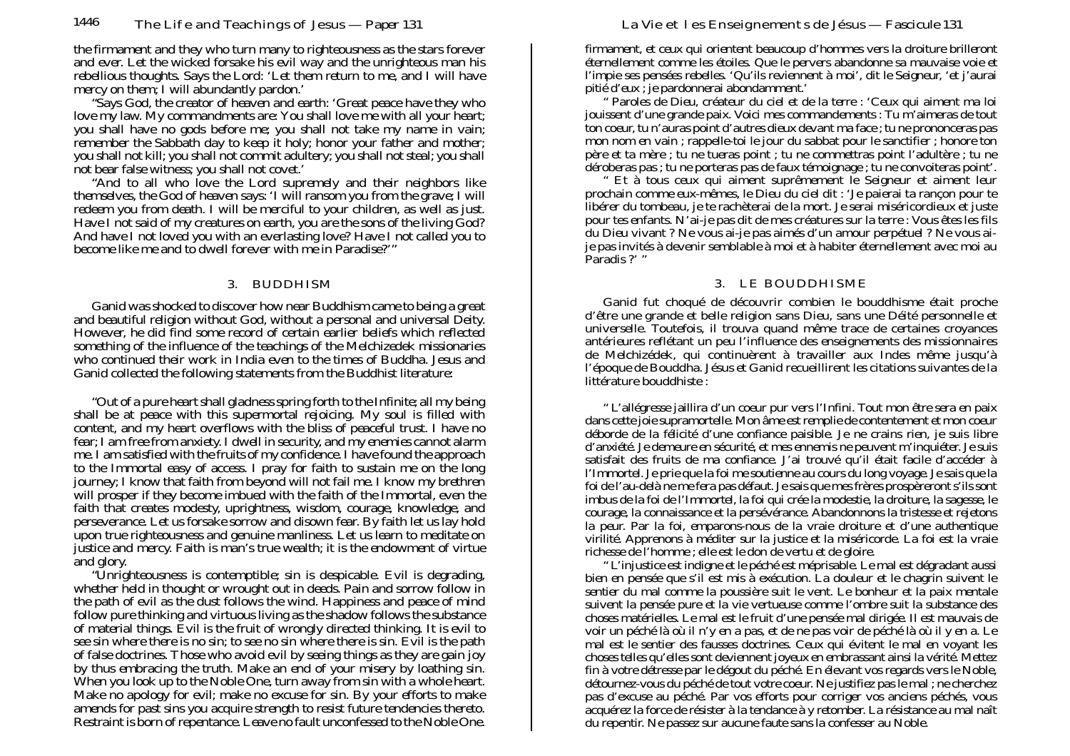the firmament and they who turn many to righteousness as the stars forever and ever. Let the wicked forsake his evil way and the unrighteous man his rebellious thoughts. Says the Lord: 'Let them return to me, and I will have mercy on them; I will abundantly pardon.'

"Says God, the creator of heaven and earth: 'Great peace have they who love my law. My commandments are: You shall love me with all your heart; you shall have no gods before me; you shall not take my name in vain; remember the Sabbath day to keep it holy; honor your father and mother; you shall not kill; you shall not commit adultery; you shall not steal; you shall not bear false witness; you shall not covet.'

"And to all who love the Lord supremely and their neighbors like themselves, the God of heaven says: 'I will ransom you from the grave; I will redeem you from death. I will be merciful to your children, as well as just. Have I not said of my creatures on earth, you are the sons of the living God? And have I not loved you with an everlasting love? Have I not called you to become like me and to dwell forever with me in Paradise?'"

#### 3. BUDDHISM

Ganid was shocked to discover how near Buddhism came to being a great and beautiful religion without God, without a personal and universal Deity. However, he did find some record of certain earlier beliefs which reflected something of the influence of the teachings of the Melchizedek missionaries who continued their work in India even to the times of Buddha. Jesus and Ganid collected the following statements from the Buddhist literature:

"Out of a pure heart shall gladness spring forth to the Infinite; all my being shall be at peace with this supermortal rejoicing. My soul is filled with content, and my heart overflows with the bliss of peaceful trust. I have no fear; I am free from anxiety. I dwell in security, and my enemies cannot alarm me. I am satisfied with the fruits of my confidence. I have found the approach to the Immortal easy of access. I pray for faith to sustain me on the long journey; I know that faith from beyond will not fail me. I know my brethren will prosper if they become imbued with the faith of the Immortal, even the faith that creates modesty, uprightness, wisdom, courage, knowledge, and perseverance. Let us forsake sorrow and disown fear. By faith let us lay hold upon true righteousness and genuine manliness. Let us learn to meditate on justice and mercy. Faith is man's true wealth; it is the endowment of virtue and glory.

"Unrighteousness is contemptible; sin is despicable. Evil is degrading, whether held in thought or wrought out in deeds. Pain and sorrow follow in the path of evil as the dust follows the wind. Happiness and peace of mind follow pure thinking and virtuous living as the shadow follows the substance of material things. Evil is the fruit of wrongly directed thinking. It is evil to see sin where there is no sin; to see no sin where there is sin. Evil is the path of false doctrines. Those who avoid evil by seeing things as they are gain joy by thus embracing the truth. Make an end of your misery by loathing sin. When you look up to the Noble One, turn away from sin with a whole heart. Make no apology for evil; make no excuse for sin. By your efforts to make amends for past sins you acquire strength to resist future tendencies thereto. Restraint is born of repentance. Leave no fault unconfessed to the Noble One.

firmament, et ceux qui orientent beaucoup d'hommes vers la droiture brilleront éternellement comme les étoiles. Que le pervers abandonne sa mauvaise voie et l'impie ses pensées rebelles. 'Qu'ils reviennent à moi', dit le Seigneur, 'et j'aurai pitié d'eux ; je pardonnerai abondamment.'

" Paroles de Dieu, créateur du ciel et de la terre : 'Ceux qui aiment ma loi jouissent d'une grande paix. Voici mes commandements : Tu m'aimeras de tout ton coeur, tu n'auras point d'autres dieux devant ma face ; tu ne prononceras pas mon nom en vain ; rappelle-toi le jour du sabbat pour le sanctifier ; honore ton père et ta mère ; tu ne tueras point ; tu ne commettras point l'adultère ; tu ne déroberas pas ; tu ne porteras pas de faux témoignage ; tu ne convoiteras point'.

" Et à tous ceux qui aiment suprêmement le Seigneur et aiment leur prochain comme eux-mêmes, le Dieu du ciel dit : 'Je paierai ta rançon pour te libérer du tombeau, je te rachèterai de la mort. Je serai miséricordieux et juste pour tes enfants. N'ai-je pas dit de mes créatures sur la terre : Vous êtes les fils du Dieu vivant ? Ne vous ai-je pas aimés d'un amour perpétuel ? Ne vous aije pas invités à devenir semblable à moi et à habiter éternellement avec moi au Paradis ?' "

#### 3. LE BOUDDHISME

Ganid fut choqué de découvrir combien le bouddhisme était proche d'être une grande et belle religion sans Dieu, sans une Déité personnelle et universelle. Toutefois, il trouva quand même trace de certaines croyances antérieures reflétant un peu l'influence des enseignements des missionnaires de Melchizédek, qui continuèrent à travailler aux Indes même jusqu'à l'époque de Bouddha. Jésus et Ganid recueillirent les citations suivantes de la littérature bouddhiste :

" L'allégresse jaillira d'un coeur pur vers l'Infini. Tout mon être sera en paix dans cette joie supramortelle. Mon âme est remplie de contentement et mon coeur déborde de la félicité d'une confiance paisible. Je ne crains rien, je suis libre d'anxiété. Je demeure en sécurité, et mes ennemis ne peuvent m'inquiéter. Je suis satisfait des fruits de ma confiance. J'ai trouvé qu'il était facile d'accéder à l'Immortel. Je prie que la foi me soutienne au cours du long voyage. Je sais que la foi de l'au-delà ne me fera pas défaut. Je sais que mes frères prospèreront s'ils sont imbus de la foi de l'Immortel, la foi qui crée la modestie, la droiture, la sagesse, le courage, la connaissance et la persévérance. Abandonnons la tristesse et rejetons la peur. Par la foi, emparons-nous de la vraie droiture et d'une authentique virilité. Apprenons à méditer sur la justice et la miséricorde. La foi est la vraie richesse de l'homme ; elle est le don de vertu et de gloire.

" L'injustice est indigne et le péché est méprisable. Le mal est dégradant aussi bien en pensée que s'il est mis à exécution. La douleur et le chagrin suivent le sentier du mal comme la poussière suit le vent. Le bonheur et la paix mentale suivent la pensée pure et la vie vertueuse comme l'ombre suit la substance des choses matérielles. Le mal est le fruit d'une pensée mal dirigée. Il est mauvais de voir un péché là où il n'y en a pas, et de ne pas voir de péché là où il y en a. Le mal est le sentier des fausses doctrines. Ceux qui évitent le mal en voyant les choses telles qu'elles sont deviennent joyeux en embrassant ainsi la vérité. Mettez fin à votre détresse par le dégout du péché. En élevant vos regards vers le Noble, détournez-vous du péché de tout votre coeur. Ne justifiez pas le mal ; ne cherchez pas d'excuse au péché. Par vos efforts pour corriger vos anciens péchés, vous acquérez la force de résister à la tendance à y retomber. La résistance au mal naît du repentir. Ne passez sur aucune faute sans la confesser au Noble.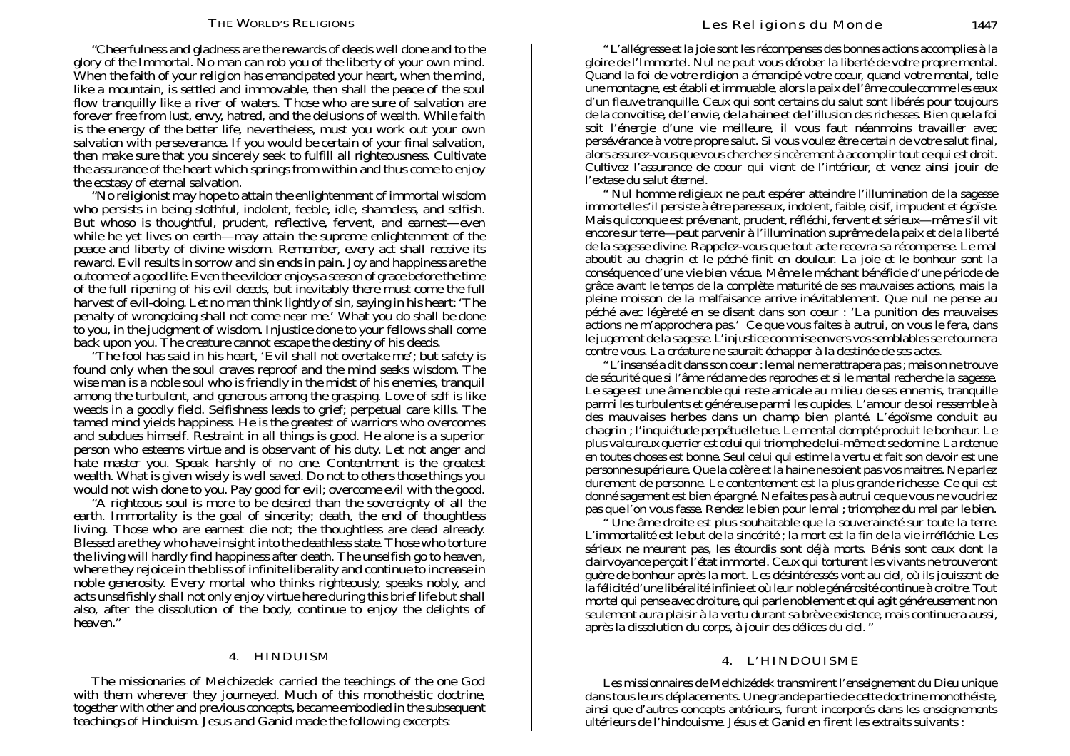"Cheerfulness and gladness are the rewards of deeds well done and to the glory of the Immortal. No man can rob you of the liberty of your own mind. When the faith of your religion has emancipated your heart, when the mind, like a mountain, is settled and immovable, then shall the peace of the soul flow tranquilly like a river of waters. Those who are sure of salvation are forever free from lust, envy, hatred, and the delusions of wealth. While faith is the energy of the better life, nevertheless, must you work out your own salvation with perseverance. If you would be certain of your final salvation, then make sure that you sincerely seek to fulfill all righteousness. Cultivate the assurance of the heart which springs from within and thus come to enjoy the ecstasy of eternal salvation.

"No religionist may hope to attain the enlightenment of immortal wisdom who persists in being slothful, indolent, feeble, idle, shameless, and selfish. But whoso is thoughtful, prudent, reflective, fervent, and earnest—even while he yet lives on earth—may attain the supreme enlightenment of the peace and liberty of divine wisdom. Remember, every act shall receive its reward. Evil results in sorrow and sin ends in pain. Joy and happiness are the outcome of a good life. Even the evildoer enjoys a season of grace before the time of the full ripening of his evil deeds, but inevitably there must come the full harvest of evil-doing. Let no man think lightly of sin, saying in his heart: 'The penalty of wrongdoing shall not come near me.' What you do shall be done to you, in the judgment of wisdom. Injustice done to your fellows shall come back upon you. The creature cannot escape the destiny of his deeds.

"The fool has said in his heart, 'Evil shall not overtake me'; but safety is found only when the soul craves reproof and the mind seeks wisdom. The wise man is a noble soul who is friendly in the midst of his enemies, tranquil among the turbulent, and generous among the grasping. Love of self is like weeds in a goodly field. Selfishness leads to grief; perpetual care kills. The tamed mind yields happiness. He is the greatest of warriors who overcomes and subdues himself. Restraint in all things is good. He alone is a superior person who esteems virtue and is observant of his duty. Let not anger and hate master you. Speak harshly of no one. Contentment is the greatest wealth. What is given wisely is well saved. Do not to others those things you would not wish done to you. Pay good for evil; overcome evil with the good.

"A righteous soul is more to be desired than the sovereignty of all the earth. Immortality is the goal of sincerity; death, the end of thoughtless living. Those who are earnest die not; the thoughtless are dead already. Blessed are they who have insight into the deathless state. Those who torture the living will hardly find happiness after death. The unselfish go to heaven, where they rejoice in the bliss of infinite liberality and continue to increase in noble generosity. Every mortal who thinks righteously, speaks nobly, and acts unselfishly shall not only enjoy virtue here during this brief life but shall also, after the dissolution of the body, continue to enjoy the delights of heaven."

#### 4. HINDUISM

The missionaries of Melchizedek carried the teachings of the one God with them wherever they journeyed. Much of this monotheistic doctrine, together with other and previous concepts, became embodied in the subsequent teachings of Hinduism. Jesus and Ganid made the following excerpts:

" L'allégresse et la joie sont les récompenses des bonnes actions accomplies à la gloire de l'Immortel. Nul ne peut vous dérober la liberté de votre propre mental. Quand la foi de votre religion a émancipé votre coeur, quand votre mental, telle une montagne, est établi et immuable, alors la paix de l'âme coule comme les eaux d'un fleuve tranquille. Ceux qui sont certains du salut sont libérés pour toujours de la convoitise, de l'envie, de la haine et de l'illusion des richesses. Bien que la foi soit l'énergie d'une vie meilleure, il vous faut néanmoins travailler avec persévérance à votre propre salut. Si vous voulez être certain de votre salut final, alors assurez-vous que vous cherchez sincèrement à accomplir tout ce qui est droit. Cultivez l'assurance de coeur qui vient de l'intérieur, et venez ainsi jouir de l'extase du salut éternel.

" Nul homme religieux ne peut espérer atteindre l'illumination de la sagesse immortelle s'il persiste à être paresseux, indolent, faible, oisif, impudent et égoïste. Mais quiconque est prévenant, prudent, réfléchi, fervent et sérieux—même s'il vit encore sur terre—peut parvenir à l'illumination suprême de la paix et de la liberté de la sagesse divine. Rappelez-vous que tout acte recevra sa récompense. Le mal aboutit au chagrin et le péché finit en douleur. La joie et le bonheur sont la conséquence d'une vie bien vécue. Même le méchant bénéficie d'une période de grâce avant le temps de la complète maturité de ses mauvaises actions, mais la pleine moisson de la malfaisance arrive inévitablement. Que nul ne pense au péché avec légèreté en se disant dans son coeur : 'La punition des mauvaises actions ne m'approchera pas.' Ce que vous faites à autrui, on vous le fera, dans le jugement de la sagesse. L'injustice commise envers vos semblables se retournera contre vous. La créature ne saurait échapper à la destinée de ses actes.

" L'insensé a dit dans son coeur : le mal ne me rattrapera pas ; mais on ne trouve de sécurité que si l'âme réclame des reproches et si le mental recherche la sagesse. Le sage est une âme noble qui reste amicale au milieu de ses ennemis, tranquille parmi les turbulents et généreuse parmi les cupides. L'amour de soi ressemble à des mauvaises herbes dans un champ bien planté. L'égoïsme conduit au chagrin ; l'inquiétude perpétuelle tue. Le mental dompté produit le bonheur. Le plus valeureux guerrier est celui qui triomphe de lui-même et se domine. La retenue en toutes choses est bonne. Seul celui qui estime la vertu et fait son devoir est une personne supérieure. Que la colère et la haine ne soient pas vos maitres. Ne parlez durement de personne. Le contentement est la plus grande richesse. Ce qui est donné sagement est bien épargné. Ne faites pas à autrui ce que vous ne voudriez pas que l'on vous fasse. Rendez le bien pour le mal ; triomphez du mal par le bien.

" Une âme droite est plus souhaitable que la souveraineté sur toute la terre. L'immortalité est le but de la sincérité ; la mort est la fin de la vie irréfléchie. Les sérieux ne meurent pas, les étourdis sont déjà morts. Bénis sont ceux dont la clairvoyance perçoit l'état immortel. Ceux qui torturent les vivants ne trouveront guère de bonheur après la mort. Les désintéressés vont au ciel, où ils jouissent de la félicité d'une libéralité infinie et où leur noble générosité continue à croitre. Tout mortel qui pense avec droiture, qui parle noblement et qui agit généreusement non seulement aura plaisir à la vertu durant sa brève existence, mais continuera aussi, après la dissolution du corps, à jouir des délices du ciel. "

#### 4. L'HINDOUISME

Les missionnaires de Melchizédek transmirent l'enseignement du Dieu unique dans tous leurs déplacements. Une grande partie de cette doctrine monothéiste, ainsi que d'autres concepts antérieurs, furent incorporés dans les enseignements ultérieurs de l'hindouisme. Jésus et Ganid en firent les extraits suivants :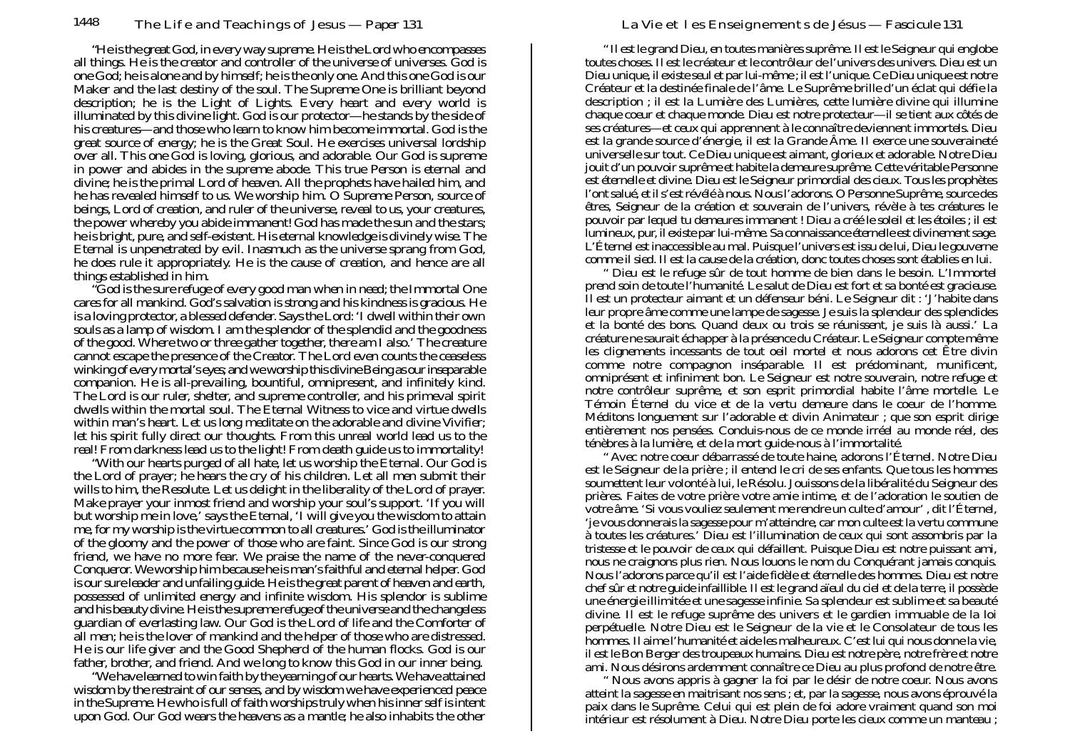"He is the great God, in every way supreme. He is the Lord who encompasses all things. He is the creator and controller of the universe of universes. God is one God; he is alone and by himself; he is the only one. And this one God is our Maker and the last destiny of the soul. The Supreme One is brilliant beyond description; he is the Light of Lights. Every heart and every world is illuminated by this divine light. God is our protector—he stands by the side of his creatures—and those who learn to know him become immortal. God is the great source of energy; he is the Great Soul. He exercises universal lordship over all. This one God is loving, glorious, and adorable. Our God is supreme in power and abides in the supreme abode. This true Person is eternal and divine; he is the primal Lord of heaven. All the prophets have hailed him, and he has revealed himself to us. We worship him. O Supreme Person, source of beings, Lord of creation, and ruler of the universe, reveal to us, your creatures, the power whereby you abide immanent! God has made the sun and the stars; he is bright, pure, and self-existent. His eternal knowledge is divinely wise. The Eternal is unpenetrated by evil. Inasmuch as the universe sprang from God, he does rule it appropriately. He is the cause of creation, and hence are all things established in him.

"God is the sure refuge of every good man when in need; the Immortal One cares for all mankind. God's salvation is strong and his kindness is gracious. He is a loving protector, a blessed defender. Says the Lord: 'I dwell within their own souls as a lamp of wisdom. I am the splendor of the splendid and the goodness of the good. Where two or three gather together, there am I also.' The creature cannot escape the presence of the Creator. The Lord even counts the ceaseless winking of every mortal's eyes; and we worship this divine Being as our inseparable companion. He is all-prevailing, bountiful, omnipresent, and infinitely kind. The Lord is our ruler, shelter, and supreme controller, and his primeval spirit dwells within the mortal soul. The Eternal Witness to vice and virtue dwells within man's heart. Let us long meditate on the adorable and divine Vivifier; let his spirit fully direct our thoughts. From this unreal world lead us to the real! From darkness lead us to the light! From death guide us to immortality!

"With our hearts purged of all hate, let us worship the Eternal. Our God is the Lord of prayer; he hears the cry of his children. Let all men submit their wills to him, the Resolute. Let us delight in the liberality of the Lord of prayer. Make prayer your inmost friend and worship your soul's support. 'If you will but worship me in love,' says the Eternal, 'I will give you the wisdom to attain me, for my worship is the virtue common to all creatures.' God is the illuminator of the gloomy and the power of those who are faint. Since God is our strong friend, we have no more fear. We praise the name of the never-conquered Conqueror. We worship him because he is man's faithful and eternal helper. God is our sure leader and unfailing guide. He is the great parent of heaven and earth, possessed of unlimited energy and infinite wisdom. His splendor is sublime and his beauty divine. He is the supreme refuge of the universe and the changeless guardian of everlasting law. Our God is the Lord of life and the Comforter of all men; he is the lover of mankind and the helper of those who are distressed. He is our life giver and the Good Shepherd of the human flocks. God is our father, brother, and friend. And we long to know this God in our inner being.

"We have learned to win faith by the yearning of our hearts. We have attained wisdom by the restraint of our senses, and by wisdom we have experienced peace in the Supreme. He who is full of faith worships truly when his inner self is intent upon God. Our God wears the heavens as a mantle; he also inhabits the other

" Il est le grand Dieu, en toutes manières suprême. Il est le Seigneur qui englobe toutes choses. Il est le créateur et le contrôleur de l'univers des univers. Dieu est un Dieu unique, il existe seul et par lui-même ; il est l'unique. Ce Dieu unique est notre Créateur et la destinée finale de l'âme. Le Suprême brille d'un éclat qui défie la description ; il est la Lumière des Lumières, cette lumière divine qui illumine chaque coeur et chaque monde. Dieu est notre protecteur—il se tient aux côtés de ses créatures—et ceux qui apprennent à le connaître deviennent immortels. Dieu est la grande source d'énergie, il est la Grande Âme. Il exerce une souveraineté universelle sur tout. Ce Dieu unique est aimant, glorieux et adorable. Notre Dieu jouit d'un pouvoir suprême et habite la demeure suprême. Cette véritable Personne est éternelle et divine. Dieu est le Seigneur primordial des cieux. Tous les prophètes l'ont salué, et il s'est révélé à nous. Nous l'adorons. O Personne Suprême, source des êtres, Seigneur de la création et souverain de l'univers, révèle à tes créatures le pouvoir par lequel tu demeures immanent ! Dieu a créé le soleil et les étoiles ; il est lumineux, pur, il existe par lui-même. Sa connaissance éternelle est divinement sage. L'Éternel est inaccessible au mal. Puisque l'univers est issu de lui, Dieu le gouverne comme il sied. Il est la cause de la création, donc toutes choses sont établies en lui.

" Dieu est le refuge sûr de tout homme de bien dans le besoin. L'Immortel prend soin de toute l'humanité. Le salut de Dieu est fort et sa bonté est gracieuse. Il est un protecteur aimant et un défenseur béni. Le Seigneur dit : 'J'habite dans leur propre âme comme une lampe de sagesse. Je suis la splendeur des splendides et la bonté des bons. Quand deux ou trois se réunissent, je suis là aussi.' La créature ne saurait échapper à la présence du Créateur. Le Seigneur compte même les clignements incessants de tout oeil mortel et nous adorons cet Être divin comme notre compagnon inséparable. Il est prédominant, munificent, omniprésent et infiniment bon. Le Seigneur est notre souverain, notre refuge et notre contrôleur suprême, et son esprit primordial habite l'âme mortelle. Le Témoin Éternel du vice et de la vertu demeure dans le coeur de l'homme. Méditons longuement sur l'adorable et divin Animateur ; que son esprit dirige entièrement nos pensées. Conduis-nous de ce monde irréel au monde réel, des ténèbres à la lumière, et de la mort guide-nous à l'immortalité.

" Avec notre coeur débarrassé de toute haine, adorons l'Éternel. Notre Dieu est le Seigneur de la prière ; il entend le cri de ses enfants. Que tous les hommes soumettent leur volonté à lui, le Résolu. Jouissons de la libéralité du Seigneur des prières. Faites de votre prière votre amie intime, et de l'adoration le soutien de votre âme. 'Si vous vouliez seulement me rendre un culte d'amour' , dit l'Éternel, 'je vous donnerais la sagesse pour m'atteindre, car mon culte est la vertu commune à toutes les créatures.' Dieu est l'illumination de ceux qui sont assombris par la tristesse et le pouvoir de ceux qui défaillent. Puisque Dieu est notre puissant ami, nous ne craignons plus rien. Nous louons le nom du Conquérant jamais conquis. Nous l'adorons parce qu'il est l'aide fidèle et éternelle des hommes. Dieu est notre chef sûr et notre guide infaillible. Il est le grand aïeul du ciel et de la terre, il possède une énergie illimitée et une sagesse infinie. Sa splendeur est sublime et sa beauté divine. Il est le refuge suprême des univers et le gardien immuable de la loi perpétuelle. Notre Dieu est le Seigneur de la vie et le Consolateur de tous les hommes. Il aime l'humanité et aide les malheureux. C'est lui qui nous donne la vie, il est le Bon Berger des troupeaux humains. Dieu est notre père, notre frère et notre ami. Nous désirons ardemment connaître ce Dieu au plus profond de notre être.

" Nous avons appris à gagner la foi par le désir de notre coeur. Nous avons atteint la sagesse en maitrisant nos sens ; et, par la sagesse, nous avons éprouvé la paix dans le Suprême. Celui qui est plein de foi adore vraiment quand son moi intérieur est résolument à Dieu. Notre Dieu porte les cieux comme un manteau ;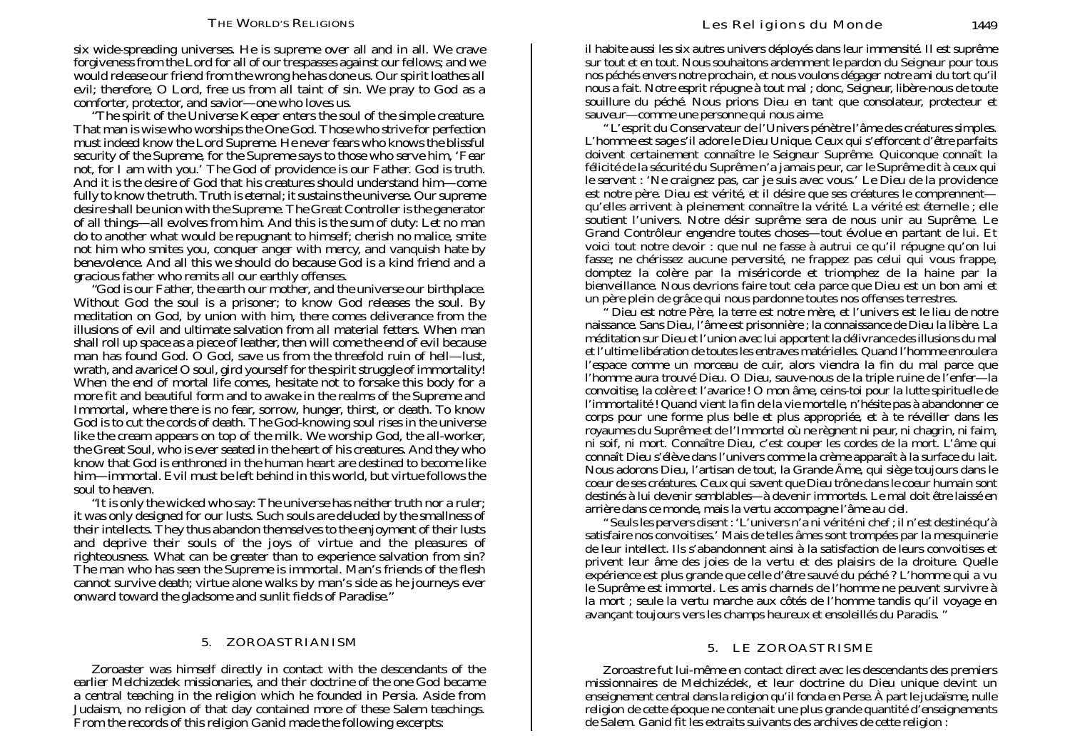six wide-spreading universes. He is supreme over all and in all. We crave forgiveness from the Lord for all of our trespasses against our fellows; and we would release our friend from the wrong he has done us. Our spirit loathes all evil; therefore, O Lord, free us from all taint of sin. We pray to God as a comforter, protector, and savior—one who loves us.

"The spirit of the Universe Keeper enters the soul of the simple creature. That man is wise who worships the One God. Those who strive for perfection must indeed know the Lord Supreme. He never fears who knows the blissful security of the Supreme, for the Supreme says to those who serve him, 'Fear not, for I am with you.' The God of providence is our Father. God is truth. And it is the desire of God that his creatures should understand him—come fully to know the truth. Truth is eternal; it sustains the universe. Our supreme desire shall be union with the Supreme. The Great Controller is the generator of all things—all evolves from him. And this is the sum of duty: Let no man do to another what would be repugnant to himself; cherish no malice, smite not him who smites you, conquer anger with mercy, and vanquish hate by benevolence. And all this we should do because God is a kind friend and a gracious father who remits all our earthly offenses.

"God is our Father, the earth our mother, and the universe our birthplace. Without God the soul is a prisoner; to know God releases the soul. By meditation on God, by union with him, there comes deliverance from the illusions of evil and ultimate salvation from all material fetters. When man shall roll up space as a piece of leather, then will come the end of evil because man has found God. O God, save us from the threefold ruin of hell—lust, wrath, and avarice! O soul, gird yourself for the spirit struggle of immortality! When the end of mortal life comes, hesitate not to forsake this body for a more fit and beautiful form and to awake in the realms of the Supreme and Immortal, where there is no fear, sorrow, hunger, thirst, or death. To know God is to cut the cords of death. The God-knowing soul rises in the universe like the cream appears on top of the milk. We worship God, the all-worker, the Great Soul, who is ever seated in the heart of his creatures. And they who know that God is enthroned in the human heart are destined to become like him—immortal. Evil must be left behind in this world, but virtue follows the soul to heaven.

"It is only the wicked who say: The universe has neither truth nor a ruler; it was only designed for our lusts. Such souls are deluded by the smallness of their intellects. They thus abandon themselves to the enjoyment of their lusts and deprive their souls of the joys of virtue and the pleasures of righteousness. What can be greater than to experience salvation from sin? The man who has seen the Supreme is immortal. Man's friends of the flesh cannot survive death; virtue alone walks by man's side as he journeys ever onward toward the gladsome and sunlit fields of Paradise."

#### 5. ZOROASTRIANISM

Zoroaster was himself directly in contact with the descendants of the earlier Melchizedek missionaries, and their doctrine of the one God became a central teaching in the religion which he founded in Persia. Aside from Judaism, no religion of that day contained more of these Salem teachings. From the records of this religion Ganid made the following excerpts:

il habite aussi les six autres univers déployés dans leur immensité. Il est suprême sur tout et en tout. Nous souhaitons ardemment le pardon du Seigneur pour tous nos péchés envers notre prochain, et nous voulons dégager notre ami du tort qu'il nous a fait. Notre esprit répugne à tout mal ; donc, Seigneur, libère-nous de toute souillure du péché. Nous prions Dieu en tant que consolateur, protecteur et sauveur—comme une personne qui nous aime.

" L'esprit du Conservateur de l'Univers pénètre l'âme des créatures simples. L'homme est sage s'il adore le Dieu Unique. Ceux qui s'efforcent d'être parfaits doivent certainement connaître le Seigneur Suprême. Quiconque connaît la félicité de la sécurité du Suprême n'a jamais peur, car le Suprême dit à ceux qui le servent : 'Ne craignez pas, car je suis avec vous.' Le Dieu de la providence est notre père. Dieu est vérité, et il désire que ses créatures le comprennent qu'elles arrivent à pleinement connaître la vérité. La vérité est éternelle ; elle soutient l'univers. Notre désir suprême sera de nous unir au Suprême. Le Grand Contrôleur engendre toutes choses—tout évolue en partant de lui. Et voici tout notre devoir : que nul ne fasse à autrui ce qu'il répugne qu'on lui fasse; ne chérissez aucune perversité, ne frappez pas celui qui vous frappe, domptez la colère par la miséricorde et triomphez de la haine par la bienveillance. Nous devrions faire tout cela parce que Dieu est un bon ami et un père plein de grâce qui nous pardonne toutes nos offenses terrestres.

" Dieu est notre Père, la terre est notre mère, et l'univers est le lieu de notre naissance. Sans Dieu, l'âme est prisonnière ; la connaissance de Dieu la libère. La méditation sur Dieu et l'union avec lui apportent la délivrance des illusions du mal et l'ultime libération de toutes les entraves matérielles. Quand l'homme enroulera l'espace comme un morceau de cuir, alors viendra la fin du mal parce que l'homme aura trouvé Dieu. O Dieu, sauve-nous de la triple ruine de l'enfer—la convoitise, la colère et l'avarice ! O mon âme, ceins-toi pour la lutte spirituelle de l'immortalité ! Quand vient la fin de la vie mortelle, n'hésite pas à abandonner ce corps pour une forme plus belle et plus appropriée, et à te réveiller dans les royaumes du Suprême et de l'Immortel où ne règnent ni peur, ni chagrin, ni faim, ni soif, ni mort. Connaître Dieu, c'est couper les cordes de la mort. L'âme qui connaît Dieu s'élève dans l'univers comme la crème apparaît à la surface du lait. Nous adorons Dieu, l'artisan de tout, la Grande Âme, qui siège toujours dans le coeur de ses créatures. Ceux qui savent que Dieu trône dans le coeur humain sont destinés à lui devenir semblables—à devenir immortels. Le mal doit être laissé en arrière dans ce monde, mais la vertu accompagne l'âme au ciel.

" Seuls les pervers disent : 'L'univers n'a ni vérité ni chef ; il n'est destiné qu'à satisfaire nos convoitises.' Mais de telles âmes sont trompées par la mesquinerie de leur intellect. Ils s'abandonnent ainsi à la satisfaction de leurs convoitises et privent leur âme des joies de la vertu et des plaisirs de la droiture. Quelle expérience est plus grande que celle d'être sauvé du péché ? L'homme qui a vu le Suprême est immortel. Les amis charnels de l'homme ne peuvent survivre à la mort ; seule la vertu marche aux côtés de l'homme tandis qu'il voyage en avançant toujours vers les champs heureux et ensoleillés du Paradis. "

#### 5. LE ZOROASTRISME

Zoroastre fut lui-même en contact direct avec les descendants des premiers missionnaires de Melchizédek, et leur doctrine du Dieu unique devint un enseignement central dans la religion qu'il fonda en Perse. À part le judaïsme, nulle religion de cette époque ne contenait une plus grande quantité d'enseignements de Salem. Ganid fit les extraits suivants des archives de cette religion :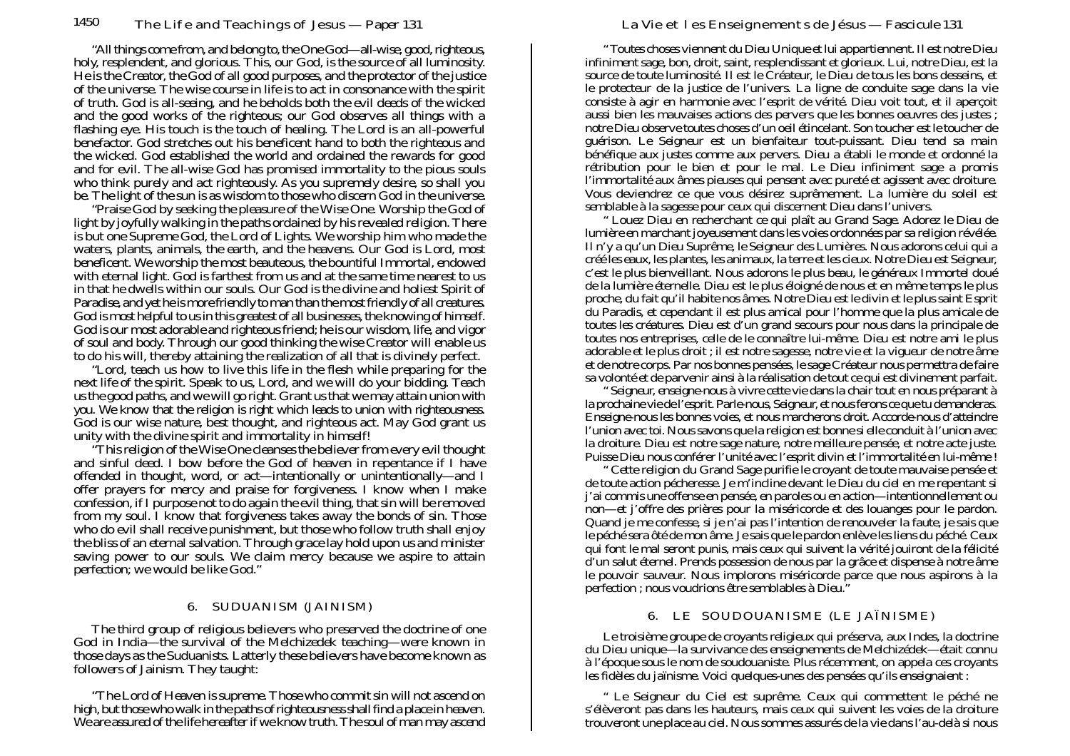"All things come from, and belong to, the One God—all-wise, good, righteous, holy, resplendent, and glorious. This, our God, is the source of all luminosity. He is the Creator, the God of all good purposes, and the protector of the justice of the universe. The wise course in life is to act in consonance with the spirit of truth. God is all-seeing, and he beholds both the evil deeds of the wicked and the good works of the righteous; our God observes all things with a flashing eye. His touch is the touch of healing. The Lord is an all-powerful benefactor. God stretches out his beneficent hand to both the righteous and the wicked. God established the world and ordained the rewards for good and for evil. The all-wise God has promised immortality to the pious souls who think purely and act righteously. As you supremely desire, so shall you be. The light of the sun is as wisdom to those who discern God in the universe.

"Praise God by seeking the pleasure of the Wise One. Worship the God of light by joyfully walking in the paths ordained by his revealed religion. There is but one Supreme God, the Lord of Lights. We worship him who made the waters, plants, animals, the earth, and the heavens. Our God is Lord, most beneficent. We worship the most beauteous, the bountiful Immortal, endowed with eternal light. God is farthest from us and at the same time nearest to us in that he dwells within our souls. Our God is the divine and holiest Spirit of Paradise, and yet he is more friendly to man than the most friendly of all creatures. God is most helpful to us in this greatest of all businesses, the knowing of himself. God is our most adorable and righteous friend; he is our wisdom, life, and vigor of soul and body. Through our good thinking the wise Creator will enable us to do his will, thereby attaining the realization of all that is divinely perfect.

"Lord, teach us how to live this life in the flesh while preparing for the next life of the spirit. Speak to us, Lord, and we will do your bidding. Teach us the good paths, and we will go right. Grant us that we may attain union with you. We know that the religion is right which leads to union with righteousness. God is our wise nature, best thought, and righteous act. May God grant us unity with the divine spirit and immortality in himself!

"This religion of the Wise One cleanses the believer from every evil thought and sinful deed. I bow before the God of heaven in repentance if I have offended in thought, word, or act—intentionally or unintentionally—and I offer prayers for mercy and praise for forgiveness. I know when I make confession, if I purpose not to do again the evil thing, that sin will be removed from my soul. I know that forgiveness takes away the bonds of sin. Those who do evil shall receive punishment, but those who follow truth shall enjoy the bliss of an eternal salvation. Through grace lay hold upon us and minister saving power to our souls. We claim mercy because we aspire to attain perfection; we would be like God."

### 6. SUDUANISM (JAINISM)

The third group of religious believers who preserved the doctrine of one God in India—the survival of the Melchizedek teaching—were known in those days as the Suduanists. Latterly these believers have become known as followers of Jainism. They taught:

"The Lord of Heaven is supreme. Those who commit sin will not ascend on high, but those who walk in the paths of righteousness shall find a place in heaven. We are assured of the life hereafter if we know truth. The soul of man may ascend

" Toutes choses viennent du Dieu Unique et lui appartiennent. Il est notre Dieu infiniment sage, bon, droit, saint, resplendissant et glorieux. Lui, notre Dieu, est la source de toute luminosité. Il est le Créateur, le Dieu de tous les bons desseins, et le protecteur de la justice de l'univers. La ligne de conduite sage dans la vie consiste à agir en harmonie avec l'esprit de vérité. Dieu voit tout, et il aperçoit aussi bien les mauvaises actions des pervers que les bonnes oeuvres des justes ; notre Dieu observe toutes choses d'un oeil étincelant. Son toucher est le toucher de guérison. Le Seigneur est un bienfaiteur tout-puissant. Dieu tend sa main bénéfique aux justes comme aux pervers. Dieu a établi le monde et ordonné la rétribution pour le bien et pour le mal. Le Dieu infiniment sage a promis l'immortalité aux âmes pieuses qui pensent avec pureté et agissent avec droiture. Vous deviendrez ce que vous désirez suprêmement. La lumière du soleil est semblable à la sagesse pour ceux qui discernent Dieu dans l'univers.

" Louez Dieu en recherchant ce qui plaît au Grand Sage. Adorez le Dieu de lumière en marchant joyeusement dans les voies ordonnées par sa religion révélée. Il n'y a qu'un Dieu Suprême, le Seigneur des Lumières. Nous adorons celui qui a créé les eaux, les plantes, les animaux, la terre et les cieux. Notre Dieu est Seigneur, c'est le plus bienveillant. Nous adorons le plus beau, le généreux Immortel doué de la lumière éternelle. Dieu est le plus éloigné de nous et en même temps le plus proche, du fait qu'il habite nos âmes. Notre Dieu est le divin et le plus saint Esprit du Paradis, et cependant il est plus amical pour l'homme que la plus amicale de toutes les créatures. Dieu est d'un grand secours pour nous dans la principale de toutes nos entreprises, celle de le connaître lui-même. Dieu est notre ami le plus adorable et le plus droit ; il est notre sagesse, notre vie et la vigueur de notre âme et de notre corps. Par nos bonnes pensées, le sage Créateur nous permettra de faire sa volonté et de parvenir ainsi à la réalisation de tout ce qui est divinement parfait.

" Seigneur, enseigne-nous à vivre cette vie dans la chair tout en nous préparant à la prochaine vie de l'esprit. Parle-nous, Seigneur, et nous ferons ce que tu demanderas. Enseigne-nous les bonnes voies, et nous marcherons droit. Accorde-nous d'atteindre l'union avec toi. Nous savons que la religion est bonne si elle conduit à l'union avec la droiture. Dieu est notre sage nature, notre meilleure pensée, et notre acte juste. Puisse Dieu nous conférer l'unité avec l'esprit divin et l'immortalité en lui-même !

" Cette religion du Grand Sage purifie le croyant de toute mauvaise pensée et de toute action pécheresse. Je m'incline devant le Dieu du ciel en me repentant si j'ai commis une offense en pensée, en paroles ou en action—intentionnellement ou non—et j'offre des prières pour la miséricorde et des louanges pour le pardon. Quand je me confesse, si je n'ai pas l'intention de renouveler la faute, je sais que le péché sera ôté de mon âme. Je sais que le pardon enlève les liens du péché. Ceux qui font le mal seront punis, mais ceux qui suivent la vérité jouiront de la félicité d'un salut éternel. Prends possession de nous par la grâce et dispense à notre âme le pouvoir sauveur. Nous implorons miséricorde parce que nous aspirons à la perfection ; nous voudrions être semblables à Dieu."

## 6. LE SOUDOUANISME (LE JAÏNISME)

Le troisième groupe de croyants religieux qui préserva, aux Indes, la doctrine du Dieu unique—la survivance des enseignements de Melchizédek—était connu à l'époque sous le nom de soudouaniste. Plus récemment, on appela ces croyants les fidèles du jaïnisme. Voici quelques-unes des pensées qu'ils enseignaient :

" Le Seigneur du Ciel est suprême. Ceux qui commettent le péché ne s'élèveront pas dans les hauteurs, mais ceux qui suivent les voies de la droiture trouveront une place au ciel. Nous sommes assurés de la vie dans l'au-delà si nous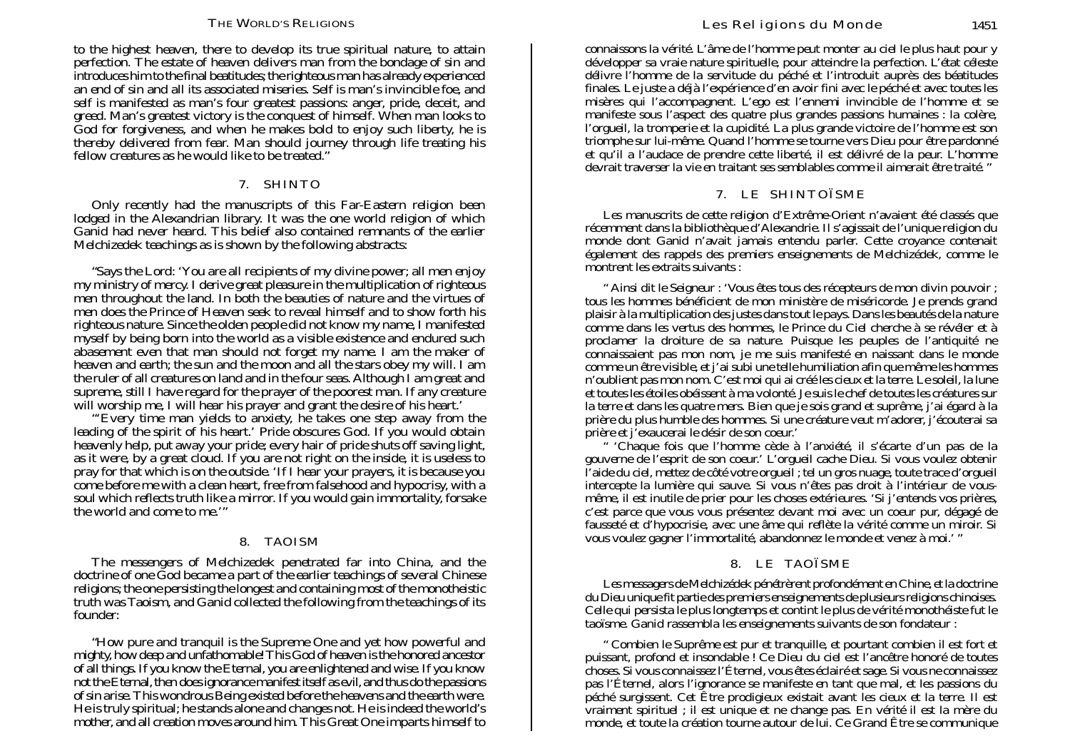to the highest heaven, there to develop its true spiritual nature, to attain perfection. The estate of heaven delivers man from the bondage of sin and introduces him to the final beatitudes; the righteous man has already experienced an end of sin and all its associated miseries. Self is man's invincible foe, and self is manifested as man's four greatest passions: anger, pride, deceit, and greed. Man's greatest victory is the conquest of himself. When man looks to God for forgiveness, and when he makes bold to enjoy such liberty, he is thereby delivered from fear. Man should journey through life treating his fellow creatures as he would like to be treated."

#### 7. SHINTO

Only recently had the manuscripts of this Far-Eastern religion been lodged in the Alexandrian library. It was the one world religion of which Ganid had never heard. This belief also contained remnants of the earlier Melchizedek teachings as is shown by the following abstracts:

"Says the Lord: 'You are all recipients of my divine power; all men enjoy my ministry of mercy. I derive great pleasure in the multiplication of righteous men throughout the land. In both the beauties of nature and the virtues of men does the Prince of Heaven seek to reveal himself and to show forth his righteous nature. Since the olden people did not know my name, I manifested myself by being born into the world as a visible existence and endured such abasement even that man should not forget my name. I am the maker of heaven and earth; the sun and the moon and all the stars obey my will. I am the ruler of all creatures on land and in the four seas. Although I am great and supreme, still I have regard for the prayer of the poorest man. If any creature will worship me, I will hear his prayer and grant the desire of his heart.'

"'Every time man yields to anxiety, he takes one step away from the leading of the spirit of his heart.' Pride obscures God. If you would obtain heavenly help, put away your pride; every hair of pride shuts off saving light, as it were, by a great cloud. If you are not right on the inside, it is useless to pray for that which is on the outside. 'If I hear your prayers, it is because you come before me with a clean heart, free from falsehood and hypocrisy, with a soul which reflects truth like a mirror. If you would gain immortality, forsake the world and come to me.'"

#### 8. TAOISM

The messengers of Melchizedek penetrated far into China, and the doctrine of one God became a part of the earlier teachings of several Chinese religions; the one persisting the longest and containing most of the monotheistic truth was Taoism, and Ganid collected the following from the teachings of its founder:

"How pure and tranquil is the Supreme One and yet how powerful and mighty, how deep and unfathomable! This God of heaven is the honored ancestor of all things. If you know the Eternal, you are enlightened and wise. If you know not the Eternal, then does ignorance manifest itself as evil, and thus do the passions of sin arise. This wondrous Being existed before the heavens and the earth were. He is truly spiritual; he stands alone and changes not. He is indeed the world's mother, and all creation moves around him. This Great One imparts himself to connaissons la vérité. L'âme de l'homme peut monter au ciel le plus haut pour y développer sa vraie nature spirituelle, pour atteindre la perfection. L'état céleste délivre l'homme de la servitude du péché et l'introduit auprès des béatitudes finales. Le juste a déjà l'expérience d'en avoir fini avec le péché et avec toutes les misères qui l'accompagnent. L'ego est l'ennemi invincible de l'homme et se manifeste sous l'aspect des quatre plus grandes passions humaines : la colère, l'orgueil, la tromperie et la cupidité. La plus grande victoire de l'homme est son triomphe sur lui-même. Quand l'homme se tourne vers Dieu pour être pardonné et qu'il a l'audace de prendre cette liberté, il est délivré de la peur. L'homme devrait traverser la vie en traitant ses semblables comme il aimerait être traité. "

#### 7. LE SHINTOÏSME

Les manuscrits de cette religion d'Extrême-Orient n'avaient été classés que récemment dans la bibliothèque d'Alexandrie. Il s'agissait de l'unique religion du monde dont Ganid n'avait jamais entendu parler. Cette croyance contenait également des rappels des premiers enseignements de Melchizédek, comme le montrent les extraits suivants :

" Ainsi dit le Seigneur : 'Vous êtes tous des récepteurs de mon divin pouvoir ; tous les hommes bénéficient de mon ministère de miséricorde. Je prends grand plaisir à la multiplication des justes dans tout le pays. Dans les beautés de la nature comme dans les vertus des hommes, le Prince du Ciel cherche à se révéler et à proclamer la droiture de sa nature. Puisque les peuples de l'antiquité ne connaissaient pas mon nom, je me suis manifesté en naissant dans le monde comme un être visible, et j'ai subi une telle humiliation afin que même les hommes n'oublient pas mon nom. C'est moi qui ai créé les cieux et la terre. Le soleil, la lune et toutes les étoiles obéissent à ma volonté. Je suis le chef de toutes les créatures sur la terre et dans les quatre mers. Bien que je sois grand et suprême, j'ai égard à la prière du plus humble des hommes. Si une créature veut m'adorer, j'écouterai sa prière et j'exaucerai le désir de son coeur.'

" 'Chaque fois que l'homme cède à l'anxiété, il s'écarte d'un pas de la gouverne de l'esprit de son coeur.' L'orgueil cache Dieu. Si vous voulez obtenir l'aide du ciel, mettez de côté votre orgueil ; tel un gros nuage, toute trace d'orgueil intercepte la lumière qui sauve. Si vous n'êtes pas droit à l'intérieur de vousmême, il est inutile de prier pour les choses extérieures. 'Si j'entends vos prières, c'est parce que vous vous présentez devant moi avec un coeur pur, dégagé de fausseté et d'hypocrisie, avec une âme qui reflète la vérité comme un miroir. Si vous voulez gagner l'immortalité, abandonnez le monde et venez à moi.' "

#### 8. LE TAOÏSME

Les messagers de Melchizédek pénétrèrent profondément en Chine, et la doctrine du Dieu unique fit partie des premiers enseignements de plusieurs religions chinoises. Celle qui persista le plus longtemps et contint le plus de vérité monothéiste fut le taoïsme. Ganid rassembla les enseignements suivants de son fondateur :

" Combien le Suprême est pur et tranquille, et pourtant combien il est fort et puissant, profond et insondable ! Ce Dieu du ciel est l'ancêtre honoré de toutes choses. Si vous connaissez l'Éternel, vous êtes éclairé et sage. Si vous ne connaissez pas l'Éternel, alors l'ignorance se manifeste en tant que mal, et les passions du péché surgissent. Cet Être prodigieux existait avant les cieux et la terre. Il est monde, et toute la création tourne autour de lui. Ce Grand Ètre se communique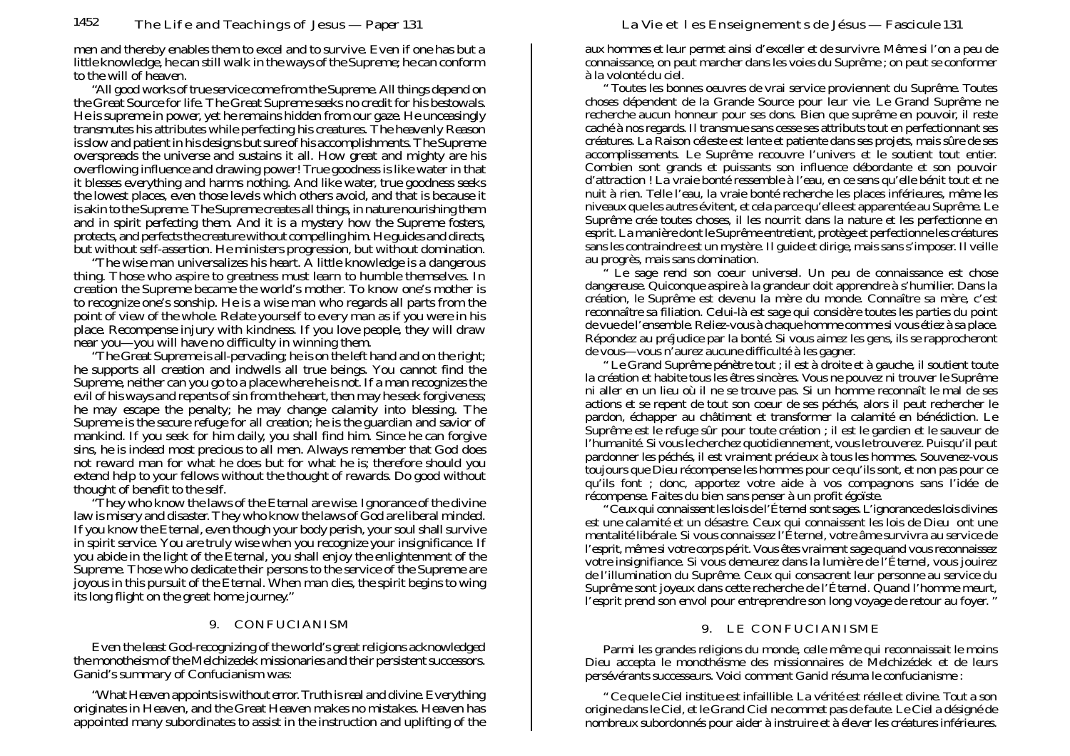men and thereby enables them to excel and to survive. Even if one has but a little knowledge, he can still walk in the ways of the Supreme; he can conform to the will of heaven.

"All good works of true service come from the Supreme. All things depend on the Great Source for life. The Great Supreme seeks no credit for his bestowals. He is supreme in power, yet he remains hidden from our gaze. He unceasingly transmutes his attributes while perfecting his creatures. The heavenly Reason is slow and patient in his designs but sure of his accomplishments. The Supreme overspreads the universe and sustains it all. How great and mighty are his overflowing influence and drawing power! True goodness is like water in that it blesses everything and harms nothing. And like water, true goodness seeks the lowest places, even those levels which others avoid, and that is because it is akin to the Supreme. The Supreme creates all things, in nature nourishing them and in spirit perfecting them. And it is a mystery how the Supreme fosters, protects, and perfects the creature without compelling him. He guides and directs, but without self-assertion. He ministers progression, but without domination.

"The wise man universalizes his heart. A little knowledge is a dangerous thing. Those who aspire to greatness must learn to humble themselves. In creation the Supreme became the world's mother. To know one's mother is to recognize one's sonship. He is a wise man who regards all parts from the point of view of the whole. Relate yourself to every man as if you were in his place. Recompense injury with kindness. If you love people, they will draw near you—you will have no difficulty in winning them.

"The Great Supreme is all-pervading; he is on the left hand and on the right; he supports all creation and indwells all true beings. You cannot find the Supreme, neither can you go to a place where he is not. If a man recognizes the evil of his ways and repents of sin from the heart, then may he seek forgiveness; he may escape the penalty; he may change calamity into blessing. The Supreme is the secure refuge for all creation; he is the guardian and savior of mankind. If you seek for him daily, you shall find him. Since he can forgive sins, he is indeed most precious to all men. Always remember that God does not reward man for what he does but for what he is; therefore should you extend help to your fellows without the thought of rewards. Do good without thought of benefit to the self.

"They who know the laws of the Eternal are wise. Ignorance of the divine law is misery and disaster. They who know the laws of God are liberal minded. If you know the Eternal, even though your body perish, your soul shall survive in spirit service. You are truly wise when you recognize your insignificance. If you abide in the light of the Eternal, you shall enjoy the enlightenment of the Supreme. Those who dedicate their persons to the service of the Supreme are joyous in this pursuit of the Eternal. When man dies, the spirit begins to wing its long flight on the great home journey."

### 9. CONFUCIANISM

Even the least God-recognizing of the world's great religions acknowledged the monotheism of the Melchizedek missionaries and their persistent successors. Ganid's summary of Confucianism was:

"What Heaven appoints is without error. Truth is real and divine. Everything originates in Heaven, and the Great Heaven makes no mistakes. Heaven has appointed many subordinates to assist in the instruction and uplifting of the aux hommes et leur permet ainsi d'exceller et de survivre. Même si l'on a peu de connaissance, on peut marcher dans les voies du Suprême ; on peut se conformer à la volonté du ciel.

 Toutes les bonnes oeuvres de vrai service proviennent du Suprême. Toutes choses dépendent de la Grande Source pour leur vie. Le Grand Suprême ne recherche aucun honneur pour ses dons. Bien que suprême en pouvoir, il reste caché à nos regards. Il transmue sans cesse ses attributs tout en perfectionnant ses créatures. La Raison céleste est lente et patiente dans ses projets, mais sûre de ses accomplissements. Le Suprême recouvre l'univers et le soutient tout entier. Combien sont grands et puissants son influence débordante et son pouvoir d'attraction ! La vraie bonté ressemble à l'eau, en ce sens qu'elle bénit tout et ne nuit à rien. Telle l'eau, la vraie bonté recherche les places inférieures, même les niveaux que les autres évitent, et cela parce qu'elle est apparentée au Suprême. Le Suprême crée toutes choses, il les nourrit dans la nature et les perfectionne en esprit. La manière dont le Suprême entretient, protège et perfectionne les créatures sans les contraindre est un mystère. Il guide et dirige, mais sans s'imposer. Il veille au progrès, mais sans domination.

" Le sage rend son coeur universel. Un peu de connaissance est chose dangereuse. Quiconque aspire à la grandeur doit apprendre à s'humilier. Dans la création, le Suprême est devenu la mère du monde. Connaître sa mère, c'est reconnaître sa filiation. Celui-là est sage qui considère toutes les parties du point de vue de l'ensemble. Reliez-vous à chaque homme comme si vous étiez à sa place. Répondez au préjudice par la bonté. Si vous aimez les gens, ils se rapprocheront de vous—vous n'aurez aucune difficulté à les gagner.

" Le Grand Suprême pénètre tout ; il est à droite et à gauche, il soutient toute la création et habite tous les êtres sincères. Vous ne pouvez ni trouver le Suprême ni aller en un lieu où il ne se trouve pas. Si un homme reconnaît le mal de ses actions et se repent de tout son coeur de ses péchés, alors il peut rechercher le pardon, échapper au châtiment et transformer la calamité en bénédiction. Le Suprême est le refuge sûr pour toute création ; il est le gardien et le sauveur de l'humanité. Si vous le cherchez quotidiennement, vous le trouverez. Puisqu'il peut pardonner les péchés, il est vraiment précieux à tous les hommes. Souvenez-vous toujours que Dieu récompense les hommes pour ce qu'ils sont, et non pas pour ce qu'ils font ; donc, apportez votre aide à vos compagnons sans l'idée de récompense. Faites du bien sans penser à un profit égoïste.

" Ceux qui connaissent les lois de l'Éternel sont sages. L'ignorance des lois divines est une calamité et un désastre. Ceux qui connaissent les lois de Dieu ont une mentalité libérale. Si vous connaissez l'Éternel, votre âme survivra au service de l'esprit, même si votre corps périt. Vous êtes vraiment sage quand vous reconnaissez votre insignifiance. Si vous demeurez dans la lumière de l'Éternel, vous jouirez de l'illumination du Suprême. Ceux qui consacrent leur personne au service du<br>Suprême sont joyeux dans cette recherche de l'Éternel. Quand l'homme meurt, l'esprit prend son envol pour entreprendre son long voyage de retour au foyer. "

# 9. LE CONFUCIANISME

Parmi les grandes religions du monde, celle même qui reconnaissait le moins Dieu accepta le monothéisme des missionnaires de Melchizédek et de leurs persévérants successeurs. Voici comment Ganid résuma le confucianisme :

" Ce que le Ciel institue est infaillible. La vérité est réelle et divine. Tout a son origine dans le Ciel, et le Grand Ciel ne commet pas de faute. Le Ciel a désigné de nombreux subordonnés pour aider à instruire et à élever les créatures inférieures.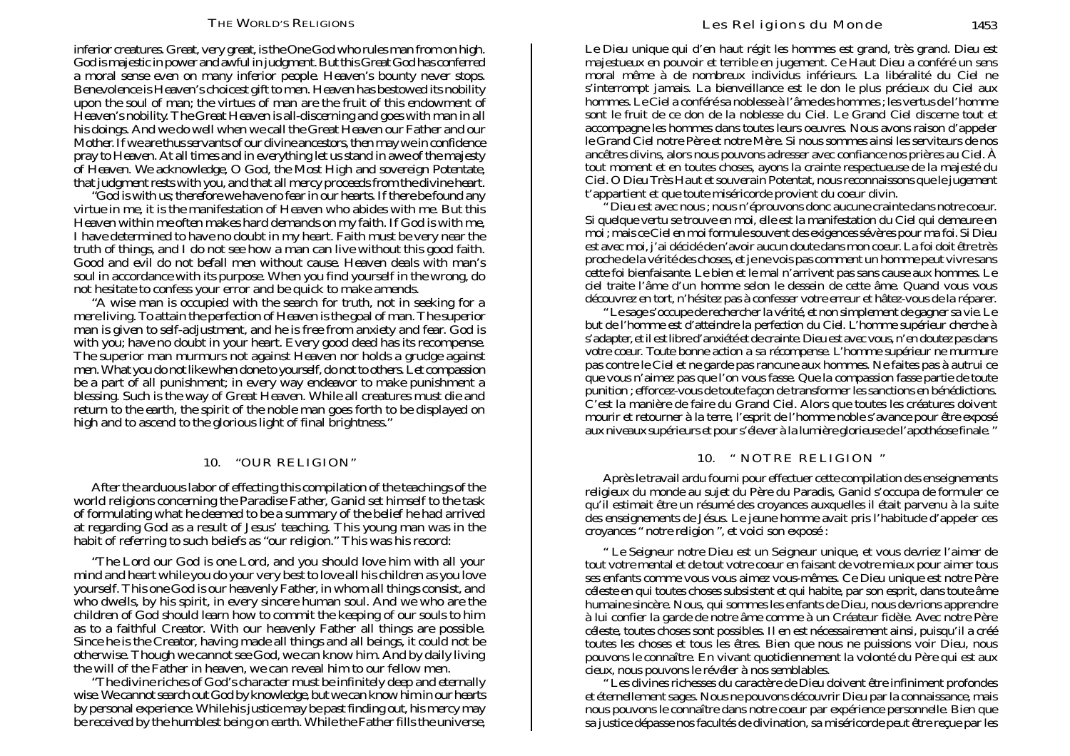inferior creatures. Great, very great, is the One God who rules man from on high. God is majestic in power and awful in judgment. But this Great God has conferred a moral sense even on many inferior people. Heaven's bounty never stops. Benevolence is Heaven's choicest gift to men. Heaven has bestowed its nobility upon the soul of man; the virtues of man are the fruit of this endowment of Heaven's nobility. The Great Heaven is all-discerning and goes with man in all his doings. And we do well when we call the Great Heaven our Father and our Mother. If we are thus servants of our divine ancestors, then may we in confidence pray to Heaven. At all times and in everything let us stand in awe of the majesty of Heaven. We acknowledge, O God, the Most High and sovereign Potentate, that judgment rests with you, and that all mercy proceeds from the divine heart.

"God is with us; therefore we have no fear in our hearts. If there be found any virtue in me, it is the manifestation of Heaven who abides with me. But this Heaven within me often makes hard demands on my faith. If God is with me, I have determined to have no doubt in my heart. Faith must be very near the truth of things, and I do not see how a man can live without this good faith. Good and evil do not befall men without cause. Heaven deals with man's soul in accordance with its purpose. When you find yourself in the wrong, do not hesitate to confess your error and be quick to make amends.

"A wise man is occupied with the search for truth, not in seeking for a mere living. To attain the perfection of Heaven is the goal of man. The superior man is given to self-adjustment, and he is free from anxiety and fear. God is with you; have no doubt in your heart. Every good deed has its recompense. The superior man murmurs not against Heaven nor holds a grudge against men. What you do not like when done to yourself, do not to others. Let compassion be a part of all punishment; in every way endeavor to make punishment a blessing. Such is the way of Great Heaven. While all creatures must die and return to the earth, the spirit of the noble man goes forth to be displayed on high and to ascend to the glorious light of final brightness."

## 10. "OUR RELIGION"

After the arduous labor of effecting this compilation of the teachings of the world religions concerning the Paradise Father, Ganid set himself to the task of formulating what he deemed to be a summary of the belief he had arrived at regarding God as a result of Jesus' teaching. This young man was in the habit of referring to such beliefs as "our religion." This was his record:

"The Lord our God is one Lord, and you should love him with all your mind and heart while you do your very best to love all his children as you love yourself. This one God is our heavenly Father, in whom all things consist, and who dwells, by his spirit, in every sincere human soul. And we who are the children of God should learn how to commit the keeping of our souls to him as to a faithful Creator. With our heavenly Father all things are possible. Since he is the Creator, having made all things and all beings, it could not be otherwise. Though we cannot see God, we can know him. And by daily living the will of the Father in heaven, we can reveal him to our fellow men.

"The divine riches of God's character must be infinitely deep and eternally wise. We cannot search out God by knowledge, but we can know him in our hearts by personal experience. While his justice may be past finding out, his mercy may be received by the humblest being on earth. While the Father fills the universe,

Le Dieu unique qui d'en haut régit les hommes est grand, très grand. Dieu est majestueux en pouvoir et terrible en jugement. Ce Haut Dieu a conféré un sens moral même à de nombreux individus inférieurs. La libéralité du Ciel ne s'interrompt jamais. La bienveillance est le don le plus précieux du Ciel aux hommes. Le Ciel a conféré sa noblesse à l'âme des hommes ; les vertus de l'homme sont le fruit de ce don de la noblesse du Ciel. Le Grand Ciel discerne tout et accompagne les hommes dans toutes leurs oeuvres. Nous avons raison d'appeler le Grand Ciel notre Père et notre Mère. Si nous sommes ainsi les serviteurs de nos ancêtres divins, alors nous pouvons adresser avec confiance nos prières au Ciel. À tout moment et en toutes choses, ayons la crainte respectueuse de la majesté du Ciel. O Dieu Très Haut et souverain Potentat, nous reconnaissons que le jugement t'appartient et que toute miséricorde provient du coeur divin.

" Dieu est avec nous ; nous n'éprouvons donc aucune crainte dans notre coeur. Si quelque vertu se trouve en moi, elle est la manifestation du Ciel qui demeure en moi ; mais ce Ciel en moi formule souvent des exigences sévères pour ma foi. Si Dieu est avec moi, j'ai décidé de n'avoir aucun doute dans mon coeur. La foi doit être très proche de la vérité des choses, et je ne vois pas comment un homme peut vivre sans cette foi bienfaisante. Le bien et le mal n'arrivent pas sans cause aux hommes. Le ciel traite l'âme d'un homme selon le dessein de cette âme. Quand vous vous découvrez en tort, n'hésitez pas à confesser votre erreur et hâtez-vous de la réparer.

" Le sage s'occupe de rechercher la vérité, et non simplement de gagner sa vie. Le but de l'homme est d'atteindre la perfection du Ciel. L'homme supérieur cherche à s'adapter, et il est libre d'anxiété et de crainte. Dieu est avec vous, n'en doutez pas dans votre coeur. Toute bonne action a sa récompense. L'homme supérieur ne murmure pas contre le Ciel et ne garde pas rancune aux hommes. Ne faites pas à autrui ce que vous n'aimez pas que l'on vous fasse. Que la compassion fasse partie de toute punition ; efforcez-vous de toute façon de transformer les sanctions en bénédictions. C'est la manière de faire du Grand Ciel. Alors que toutes les créatures doivent mourir et retourner à la terre, l'esprit de l'homme noble s'avance pour être exposé aux niveaux supérieurs et pour s'élever à la lumière glorieuse de l'apothéose finale. "

### 10. " NOTRE RELIGION "

Après le travail ardu fourni pour effectuer cette compilation des enseignements religieux du monde au sujet du Père du Paradis, Ganid s'occupa de formuler ce qu'il estimait être un résumé des croyances auxquelles il était parvenu à la suite des enseignements de Jésus. Le jeune homme avait pris l'habitude d'appeler ces croyances " notre religion ", et voici son exposé :

" Le Seigneur notre Dieu est un Seigneur unique, et vous devriez l'aimer de tout votre mental et de tout votre coeur en faisant de votre mieux pour aimer tous ses enfants comme vous vous aimez vous-mêmes. Ce Dieu unique est notre Père céleste en qui toutes choses subsistent et qui habite, par son esprit, dans toute âme humaine sincère. Nous, qui sommes les enfants de Dieu, nous devrions apprendre à lui confier la garde de notre âme comme à un Créateur fidèle. Avec notre Père céleste, toutes choses sont possibles. Il en est nécessairement ainsi, puisqu'il a créé toutes les choses et tous les êtres. Bien que nous ne puissions voir Dieu, nous pouvons le connaître. En vivant quotidiennement la volonté du Père qui est aux cieux, nous pouvons le révéler à nos semblables.

" Les divines richesses du caractère de Dieu doivent être infiniment profondes et éternellement sages. Nous ne pouvons découvrir Dieu par la connaissance, mais nous pouvons le connaître dans notre coeur par expérience personnelle. Bien que sa justice dépasse nos facultés de divination, sa miséricorde peut être reçue par les